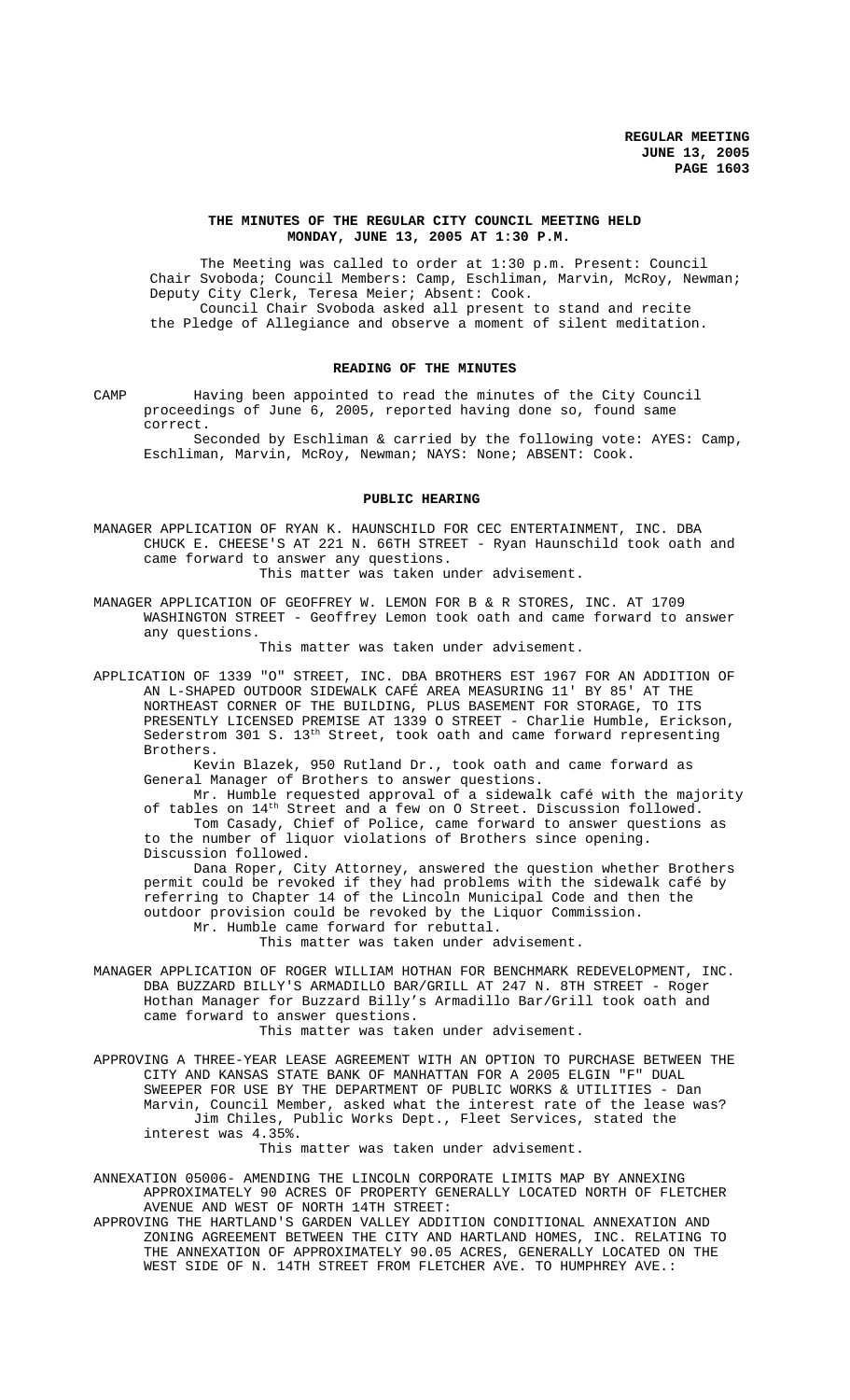### **THE MINUTES OF THE REGULAR CITY COUNCIL MEETING HELD MONDAY, JUNE 13, 2005 AT 1:30 P.M.**

The Meeting was called to order at 1:30 p.m. Present: Council Chair Svoboda; Council Members: Camp, Eschliman, Marvin, McRoy, Newman; Deputy City Clerk, Teresa Meier; Absent: Cook. Council Chair Svoboda asked all present to stand and recite the Pledge of Allegiance and observe a moment of silent meditation.

## **READING OF THE MINUTES**

CAMP Having been appointed to read the minutes of the City Council proceedings of June 6, 2005, reported having done so, found same correct.

Seconded by Eschliman & carried by the following vote: AYES: Camp, Eschliman, Marvin, McRoy, Newman; NAYS: None; ABSENT: Cook.

## **PUBLIC HEARING**

MANAGER APPLICATION OF RYAN K. HAUNSCHILD FOR CEC ENTERTAINMENT, INC. DBA CHUCK E. CHEESE'S AT 221 N. 66TH STREET - Ryan Haunschild took oath and came forward to answer any questions. This matter was taken under advisement.

MANAGER APPLICATION OF GEOFFREY W. LEMON FOR B & R STORES, INC. AT 1709 WASHINGTON STREET - Geoffrey Lemon took oath and came forward to answer any questions.

This matter was taken under advisement.

APPLICATION OF 1339 "O" STREET, INC. DBA BROTHERS EST 1967 FOR AN ADDITION OF AN L-SHAPED OUTDOOR SIDEWALK CAFÉ AREA MEASURING 11' BY 85' AT THE NORTHEAST CORNER OF THE BUILDING, PLUS BASEMENT FOR STORAGE, TO ITS PRESENTLY LICENSED PREMISE AT 1339 O STREET - Charlie Humble, Erickson, Sederstrom 301 S.  $13<sup>th</sup>$  Street, took oath and came forward representing Brothers.

Kevin Blazek, 950 Rutland Dr., took oath and came forward as General Manager of Brothers to answer questions.

Mr. Humble requested approval of a sidewalk café with the majority of tables on  $14^{\text{th}}$  Street and a few on O Street. Discussion followed. Tom Casady, Chief of Police, came forward to answer questions as

to the number of liquor violations of Brothers since opening. Discussion followed.

Dana Roper, City Attorney, answered the question whether Brothers permit could be revoked if they had problems with the sidewalk café by referring to Chapter 14 of the Lincoln Municipal Code and then the outdoor provision could be revoked by the Liquor Commission. Mr. Humble came forward for rebuttal.

This matter was taken under advisement.

MANAGER APPLICATION OF ROGER WILLIAM HOTHAN FOR BENCHMARK REDEVELOPMENT, INC. DBA BUZZARD BILLY'S ARMADILLO BAR/GRILL AT 247 N. 8TH STREET - Roger Hothan Manager for Buzzard Billy's Armadillo Bar/Grill took oath and came forward to answer questions. This matter was taken under advisement.

APPROVING A THREE-YEAR LEASE AGREEMENT WITH AN OPTION TO PURCHASE BETWEEN THE CITY AND KANSAS STATE BANK OF MANHATTAN FOR A 2005 ELGIN "F" DUAL SWEEPER FOR USE BY THE DEPARTMENT OF PUBLIC WORKS & UTILITIES - Dan Marvin, Council Member, asked what the interest rate of the lease was? Jim Chiles, Public Works Dept., Fleet Services, stated the interest was 4.35%.

This matter was taken under advisement.

ANNEXATION 05006- AMENDING THE LINCOLN CORPORATE LIMITS MAP BY ANNEXING APPROXIMATELY 90 ACRES OF PROPERTY GENERALLY LOCATED NORTH OF FLETCHER AVENUE AND WEST OF NORTH 14TH STREET:

APPROVING THE HARTLAND'S GARDEN VALLEY ADDITION CONDITIONAL ANNEXATION AND ZONING AGREEMENT BETWEEN THE CITY AND HARTLAND HOMES, INC. RELATING TO THE ANNEXATION OF APPROXIMATELY 90.05 ACRES, GENERALLY LOCATED ON THE WEST SIDE OF N. 14TH STREET FROM FLETCHER AVE. TO HUMPHREY AVE.: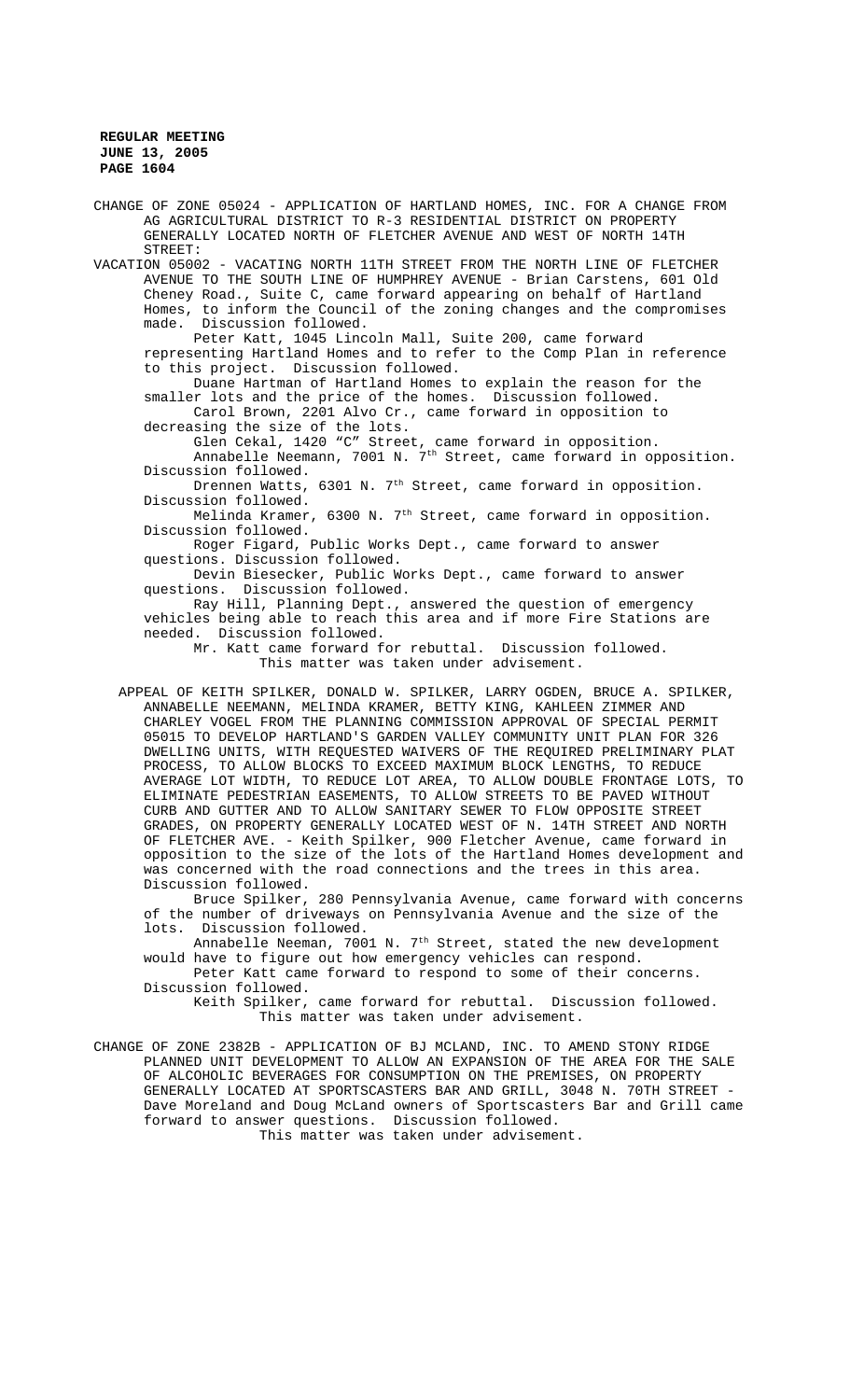CHANGE OF ZONE 05024 - APPLICATION OF HARTLAND HOMES, INC. FOR A CHANGE FROM AG AGRICULTURAL DISTRICT TO R-3 RESIDENTIAL DISTRICT ON PROPERTY GENERALLY LOCATED NORTH OF FLETCHER AVENUE AND WEST OF NORTH 14TH STREET:

VACATION 05002 - VACATING NORTH 11TH STREET FROM THE NORTH LINE OF FLETCHER AVENUE TO THE SOUTH LINE OF HUMPHREY AVENUE - Brian Carstens, 601 Old Cheney Road., Suite C, came forward appearing on behalf of Hartland Homes, to inform the Council of the zoning changes and the compromises Discussion followed.

Peter Katt, 1045 Lincoln Mall, Suite 200, came forward representing Hartland Homes and to refer to the Comp Plan in reference to this project. Discussion followed.

Duane Hartman of Hartland Homes to explain the reason for the smaller lots and the price of the homes. Discussion followed. Carol Brown, 2201 Alvo Cr., came forward in opposition to

decreasing the size of the lots.

Glen Cekal, 1420 "C" Street, came forward in opposition. Annabelle Neemann, 7001 N.  $7<sup>th</sup>$  Street, came forward in opposition. Discussion followed.

Drennen Watts, 6301 N.  $7<sup>th</sup>$  Street, came forward in opposition. Discussion followed.

Melinda Kramer, 6300 N.  $7<sup>th</sup>$  Street, came forward in opposition. Discussion followed.

Roger Figard, Public Works Dept., came forward to answer questions. Discussion followed.

Devin Biesecker, Public Works Dept., came forward to answer questions. Discussion followed.

Ray Hill, Planning Dept., answered the question of emergency vehicles being able to reach this area and if more Fire Stations are needed. Discussion followed.

Mr. Katt came forward for rebuttal. Discussion followed. This matter was taken under advisement.

 APPEAL OF KEITH SPILKER, DONALD W. SPILKER, LARRY OGDEN, BRUCE A. SPILKER, ANNABELLE NEEMANN, MELINDA KRAMER, BETTY KING, KAHLEEN ZIMMER AND CHARLEY VOGEL FROM THE PLANNING COMMISSION APPROVAL OF SPECIAL PERMIT 05015 TO DEVELOP HARTLAND'S GARDEN VALLEY COMMUNITY UNIT PLAN FOR 326 DWELLING UNITS, WITH REQUESTED WAIVERS OF THE REQUIRED PRELIMINARY PLAT PROCESS, TO ALLOW BLOCKS TO EXCEED MAXIMUM BLOCK LENGTHS, TO REDUCE AVERAGE LOT WIDTH, TO REDUCE LOT AREA, TO ALLOW DOUBLE FRONTAGE LOTS, TO ELIMINATE PEDESTRIAN EASEMENTS, TO ALLOW STREETS TO BE PAVED WITHOUT CURB AND GUTTER AND TO ALLOW SANITARY SEWER TO FLOW OPPOSITE STREET GRADES, ON PROPERTY GENERALLY LOCATED WEST OF N. 14TH STREET AND NORTH OF FLETCHER AVE. - Keith Spilker, 900 Fletcher Avenue, came forward in opposition to the size of the lots of the Hartland Homes development and was concerned with the road connections and the trees in this area. Discussion followed.

Bruce Spilker, 280 Pennsylvania Avenue, came forward with concerns of the number of driveways on Pennsylvania Avenue and the size of the lots. Discussion followed.

Annabelle Neeman, 7001 N. 7<sup>th</sup> Street, stated the new development would have to figure out how emergency vehicles can respond.

Peter Katt came forward to respond to some of their concerns. Discussion followed.

Keith Spilker, came forward for rebuttal. Discussion followed. This matter was taken under advisement.

CHANGE OF ZONE 2382B - APPLICATION OF BJ MCLAND, INC. TO AMEND STONY RIDGE PLANNED UNIT DEVELOPMENT TO ALLOW AN EXPANSION OF THE AREA FOR THE SALE OF ALCOHOLIC BEVERAGES FOR CONSUMPTION ON THE PREMISES, ON PROPERTY GENERALLY LOCATED AT SPORTSCASTERS BAR AND GRILL, 3048 N. 70TH STREET - Dave Moreland and Doug McLand owners of Sportscasters Bar and Grill came forward to answer questions. Discussion followed. This matter was taken under advisement.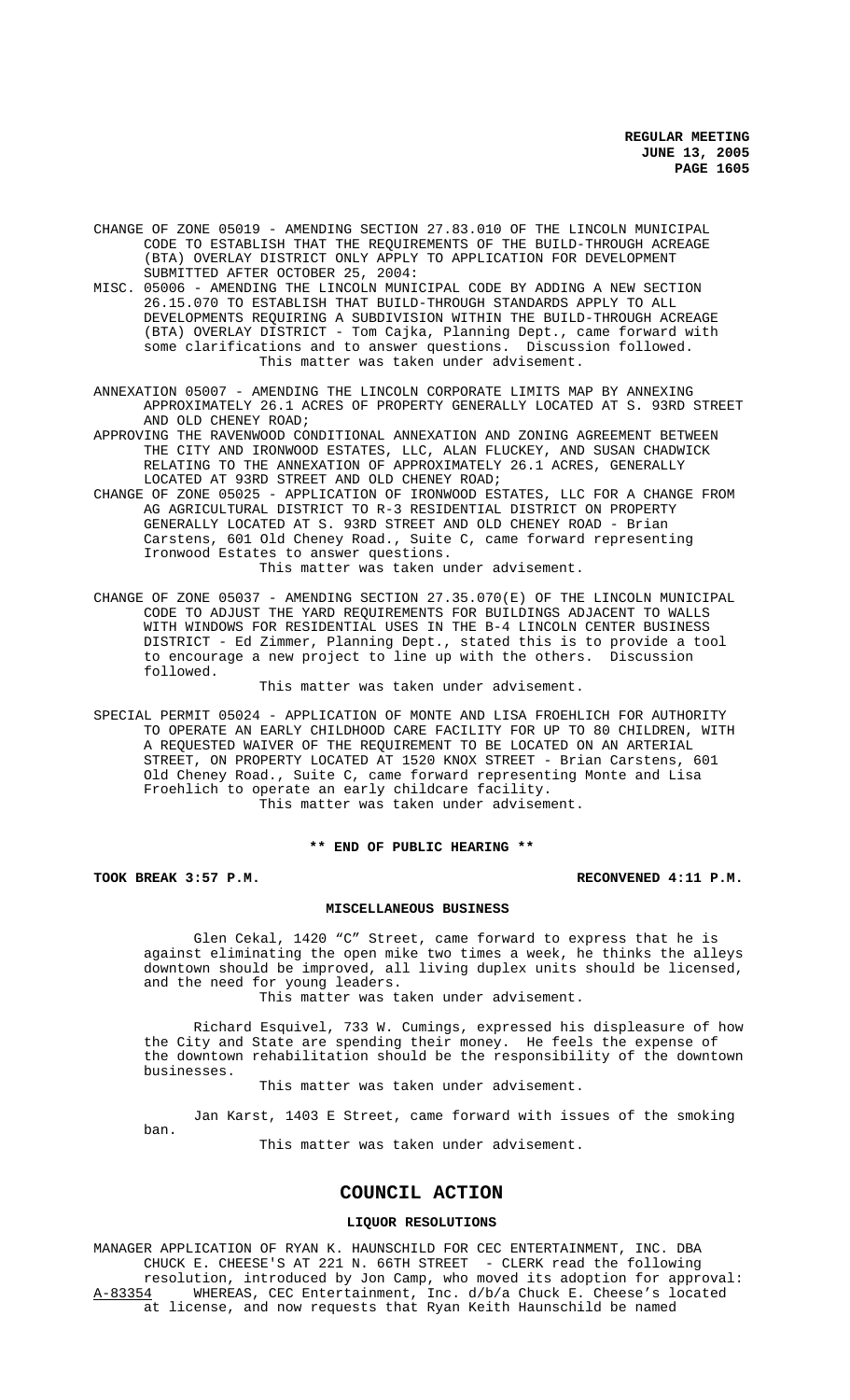CHANGE OF ZONE 05019 - AMENDING SECTION 27.83.010 OF THE LINCOLN MUNICIPAL CODE TO ESTABLISH THAT THE REQUIREMENTS OF THE BUILD-THROUGH ACREAGE (BTA) OVERLAY DISTRICT ONLY APPLY TO APPLICATION FOR DEVELOPMENT SUBMITTED AFTER OCTOBER 25, 2004:

MISC. 05006 - AMENDING THE LINCOLN MUNICIPAL CODE BY ADDING A NEW SECTION 26.15.070 TO ESTABLISH THAT BUILD-THROUGH STANDARDS APPLY TO ALL DEVELOPMENTS REQUIRING A SUBDIVISION WITHIN THE BUILD-THROUGH ACREAGE (BTA) OVERLAY DISTRICT - Tom Cajka, Planning Dept., came forward with some clarifications and to answer questions. Discussion followed. This matter was taken under advisement.

ANNEXATION 05007 - AMENDING THE LINCOLN CORPORATE LIMITS MAP BY ANNEXING APPROXIMATELY 26.1 ACRES OF PROPERTY GENERALLY LOCATED AT S. 93RD STREET AND OLD CHENEY ROAD;

APPROVING THE RAVENWOOD CONDITIONAL ANNEXATION AND ZONING AGREEMENT BETWEEN THE CITY AND IRONWOOD ESTATES, LLC, ALAN FLUCKEY, AND SUSAN CHADWICK RELATING TO THE ANNEXATION OF APPROXIMATELY 26.1 ACRES, GENERALLY LOCATED AT 93RD STREET AND OLD CHENEY ROAD;

CHANGE OF ZONE 05025 - APPLICATION OF IRONWOOD ESTATES, LLC FOR A CHANGE FROM AG AGRICULTURAL DISTRICT TO R-3 RESIDENTIAL DISTRICT ON PROPERTY GENERALLY LOCATED AT S. 93RD STREET AND OLD CHENEY ROAD - Brian Carstens, 601 Old Cheney Road., Suite C, came forward representing Ironwood Estates to answer questions. This matter was taken under advisement.

CHANGE OF ZONE 05037 - AMENDING SECTION 27.35.070(E) OF THE LINCOLN MUNICIPAL CODE TO ADJUST THE YARD REQUIREMENTS FOR BUILDINGS ADJACENT TO WALLS WITH WINDOWS FOR RESIDENTIAL USES IN THE B-4 LINCOLN CENTER BUSINESS DISTRICT - Ed Zimmer, Planning Dept., stated this is to provide a tool to encourage a new project to line up with the others. Discussion followed.

This matter was taken under advisement.

SPECIAL PERMIT 05024 - APPLICATION OF MONTE AND LISA FROEHLICH FOR AUTHORITY TO OPERATE AN EARLY CHILDHOOD CARE FACILITY FOR UP TO 80 CHILDREN, WITH A REQUESTED WAIVER OF THE REQUIREMENT TO BE LOCATED ON AN ARTERIAL STREET, ON PROPERTY LOCATED AT 1520 KNOX STREET - Brian Carstens, 601 Old Cheney Road., Suite C, came forward representing Monte and Lisa Froehlich to operate an early childcare facility. This matter was taken under advisement.

### **\*\* END OF PUBLIC HEARING \*\***

## **TOOK BREAK 3:57 P.M. RECONVENED 4:11 P.M.**

### **MISCELLANEOUS BUSINESS**

Glen Cekal, 1420 "C" Street, came forward to express that he is against eliminating the open mike two times a week, he thinks the alleys downtown should be improved, all living duplex units should be licensed, and the need for young leaders.

This matter was taken under advisement.

Richard Esquivel, 733 W. Cumings, expressed his displeasure of how the City and State are spending their money. He feels the expense of the downtown rehabilitation should be the responsibility of the downtown businesses.

This matter was taken under advisement.

Jan Karst, 1403 E Street, came forward with issues of the smoking ban.

This matter was taken under advisement.

# **COUNCIL ACTION**

#### **LIQUOR RESOLUTIONS**

MANAGER APPLICATION OF RYAN K. HAUNSCHILD FOR CEC ENTERTAINMENT, INC. DBA CHUCK E. CHEESE'S AT 221 N. 66TH STREET - CLERK read the following resolution, introduced by Jon Camp, who moved its adoption for approval:<br>A-83354 WHEREAS, CEC Entertainment, Inc.  $d/b/a$  Chuck E. Cheese's located A-83354 WHEREAS, CEC Entertainment, Inc. d/b/a Chuck E. Cheese's located at license, and now requests that Ryan Keith Haunschild be named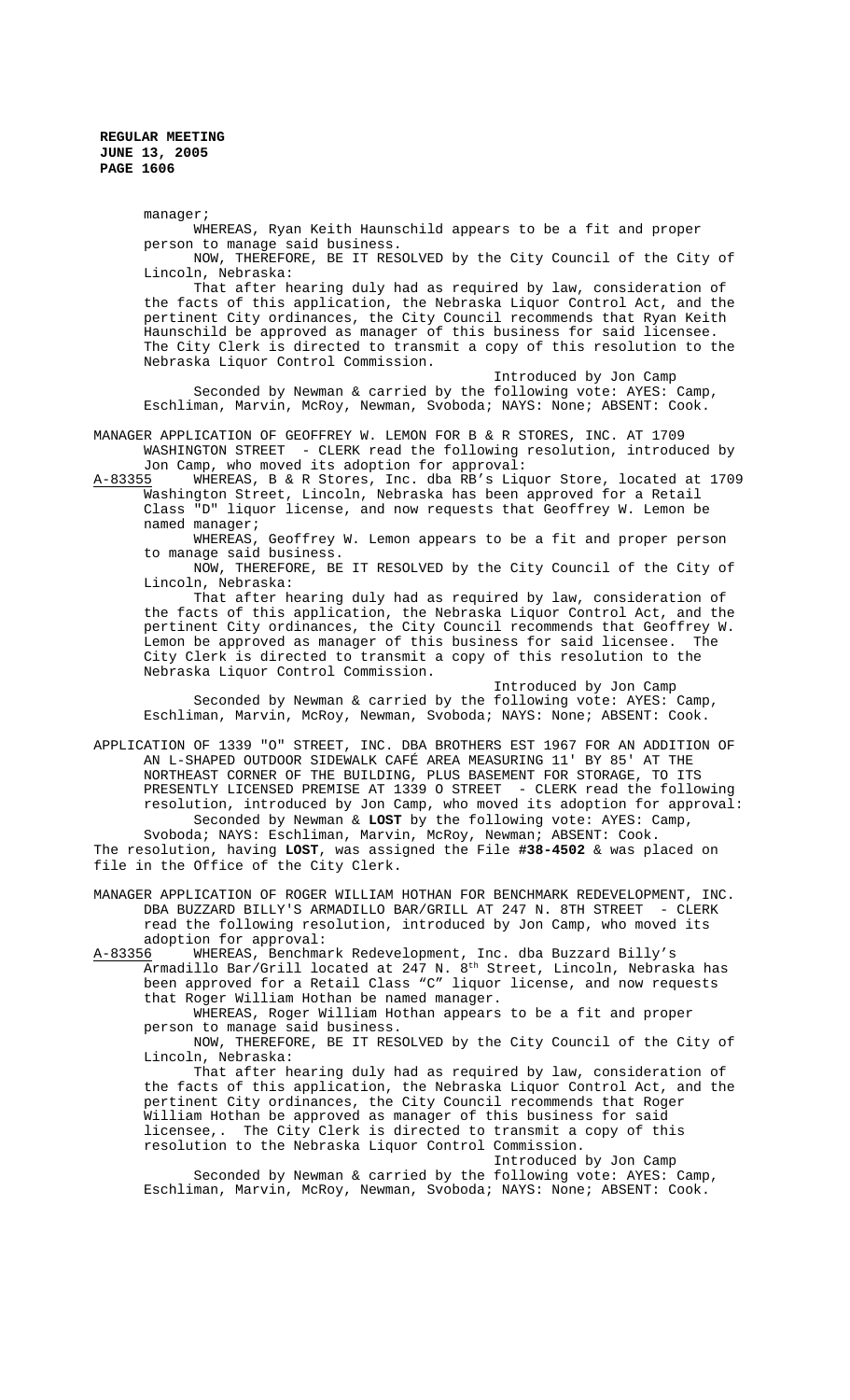manager;

WHEREAS, Ryan Keith Haunschild appears to be a fit and proper person to manage said business.

NOW, THEREFORE, BE IT RESOLVED by the City Council of the City of Lincoln, Nebraska:

That after hearing duly had as required by law, consideration of the facts of this application, the Nebraska Liquor Control Act, and the pertinent City ordinances, the City Council recommends that Ryan Keith Haunschild be approved as manager of this business for said licensee. The City Clerk is directed to transmit a copy of this resolution to the Nebraska Liquor Control Commission.

Introduced by Jon Camp Seconded by Newman & carried by the following vote: AYES: Camp, Eschliman, Marvin, McRoy, Newman, Svoboda; NAYS: None; ABSENT: Cook.

MANAGER APPLICATION OF GEOFFREY W. LEMON FOR B & R STORES, INC. AT 1709 WASHINGTON STREET - CLERK read the following resolution, introduced by

Jon Camp, who moved its adoption for approval:<br>A-83355 WHEREAS, B & R Stores, Inc. dba RB's Lig A-83355 MHEREAS, B & R Stores, Inc. dba RB's Liquor Store, located at 1709 Washington Street, Lincoln, Nebraska has been approved for a Retail Class "D" liquor license, and now requests that Geoffrey W. Lemon be named manager;

WHEREAS, Geoffrey W. Lemon appears to be a fit and proper person to manage said business.

NOW, THEREFORE, BE IT RESOLVED by the City Council of the City of Lincoln, Nebraska:

That after hearing duly had as required by law, consideration of the facts of this application, the Nebraska Liquor Control Act, and the pertinent City ordinances, the City Council recommends that Geoffrey W. Lemon be approved as manager of this business for said licensee. The City Clerk is directed to transmit a copy of this resolution to the Nebraska Liquor Control Commission.

Introduced by Jon Camp Seconded by Newman & carried by the following vote: AYES: Camp, Eschliman, Marvin, McRoy, Newman, Svoboda; NAYS: None; ABSENT: Cook.

APPLICATION OF 1339 "O" STREET, INC. DBA BROTHERS EST 1967 FOR AN ADDITION OF AN L-SHAPED OUTDOOR SIDEWALK CAFÉ AREA MEASURING 11' BY 85' AT THE NORTHEAST CORNER OF THE BUILDING, PLUS BASEMENT FOR STORAGE, TO ITS PRESENTLY LICENSED PREMISE AT 1339 O STREET - CLERK read the following resolution, introduced by Jon Camp, who moved its adoption for approval: Seconded by Newman & **LOST** by the following vote: AYES: Camp, Svoboda; NAYS: Eschliman, Marvin, McRoy, Newman; ABSENT: Cook.

The resolution, having **LOST**, was assigned the File **#38-4502** & was placed on file in the Office of the City Clerk.

MANAGER APPLICATION OF ROGER WILLIAM HOTHAN FOR BENCHMARK REDEVELOPMENT, INC. DBA BUZZARD BILLY'S ARMADILLO BAR/GRILL AT 247 N. 8TH STREET - CLERK read the following resolution, introduced by Jon Camp, who moved its

adoption for approval:<br>A-83356 MHEREAS, Benchma A-83356 WHEREAS, Benchmark Redevelopment, Inc. dba Buzzard Billy's Armadillo Bar/Grill located at 247 N. 8<sup>th</sup> Street, Lincoln, Nebraska has been approved for a Retail Class "C" liquor license, and now requests that Roger William Hothan be named manager.

WHEREAS, Roger William Hothan appears to be a fit and proper person to manage said business.

NOW, THEREFORE, BE IT RESOLVED by the City Council of the City of Lincoln, Nebraska:

That after hearing duly had as required by law, consideration of the facts of this application, the Nebraska Liquor Control Act, and the pertinent City ordinances, the City Council recommends that Roger William Hothan be approved as manager of this business for said licensee,. The City Clerk is directed to transmit a copy of this resolution to the Nebraska Liquor Control Commission.

Introduced by Jon Camp

Seconded by Newman & carried by the following vote: AYES: Camp, Eschliman, Marvin, McRoy, Newman, Svoboda; NAYS: None; ABSENT: Cook.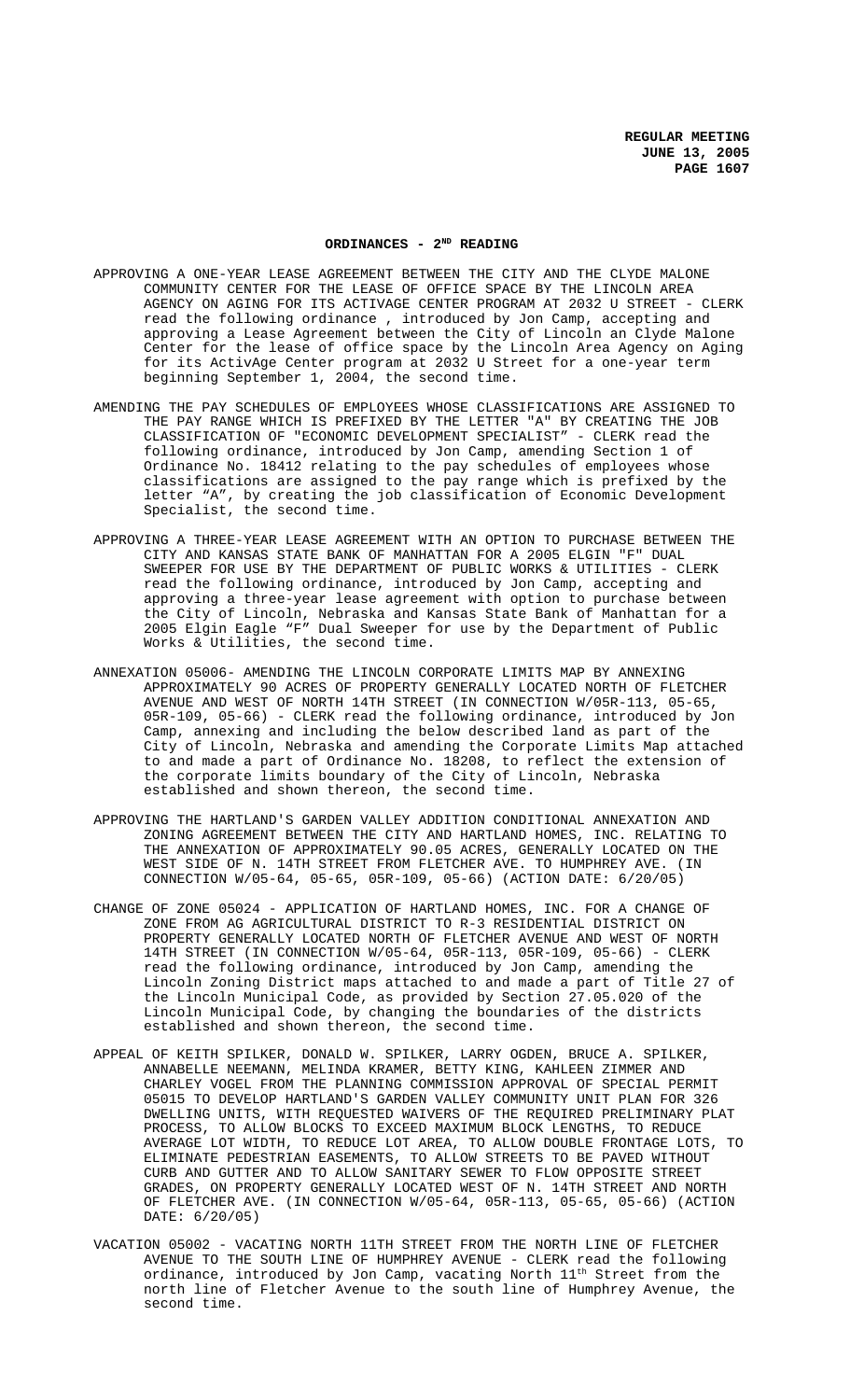# **ORDINANCES - 2ND READING**

- APPROVING A ONE-YEAR LEASE AGREEMENT BETWEEN THE CITY AND THE CLYDE MALONE COMMUNITY CENTER FOR THE LEASE OF OFFICE SPACE BY THE LINCOLN AREA AGENCY ON AGING FOR ITS ACTIVAGE CENTER PROGRAM AT 2032 U STREET - CLERK read the following ordinance , introduced by Jon Camp, accepting and approving a Lease Agreement between the City of Lincoln an Clyde Malone Center for the lease of office space by the Lincoln Area Agency on Aging for its ActivAge Center program at 2032 U Street for a one-year term beginning September 1, 2004, the second time.
- AMENDING THE PAY SCHEDULES OF EMPLOYEES WHOSE CLASSIFICATIONS ARE ASSIGNED TO THE PAY RANGE WHICH IS PREFIXED BY THE LETTER "A" BY CREATING THE JOB CLASSIFICATION OF "ECONOMIC DEVELOPMENT SPECIALIST" - CLERK read the following ordinance, introduced by Jon Camp, amending Section 1 of Ordinance No. 18412 relating to the pay schedules of employees whose classifications are assigned to the pay range which is prefixed by the letter "A", by creating the job classification of Economic Development Specialist, the second time.
- APPROVING A THREE-YEAR LEASE AGREEMENT WITH AN OPTION TO PURCHASE BETWEEN THE CITY AND KANSAS STATE BANK OF MANHATTAN FOR A 2005 ELGIN "F" DUAL SWEEPER FOR USE BY THE DEPARTMENT OF PUBLIC WORKS & UTILITIES - CLERK read the following ordinance, introduced by Jon Camp, accepting and approving a three-year lease agreement with option to purchase between the City of Lincoln, Nebraska and Kansas State Bank of Manhattan for a 2005 Elgin Eagle "F" Dual Sweeper for use by the Department of Public Works & Utilities, the second time.
- ANNEXATION 05006- AMENDING THE LINCOLN CORPORATE LIMITS MAP BY ANNEXING APPROXIMATELY 90 ACRES OF PROPERTY GENERALLY LOCATED NORTH OF FLETCHER AVENUE AND WEST OF NORTH 14TH STREET (IN CONNECTION W/05R-113, 05-65, 05R-109, 05-66) - CLERK read the following ordinance, introduced by Jon Camp, annexing and including the below described land as part of the City of Lincoln, Nebraska and amending the Corporate Limits Map attached to and made a part of Ordinance No. 18208, to reflect the extension of the corporate limits boundary of the City of Lincoln, Nebraska established and shown thereon, the second time.
- APPROVING THE HARTLAND'S GARDEN VALLEY ADDITION CONDITIONAL ANNEXATION AND ZONING AGREEMENT BETWEEN THE CITY AND HARTLAND HOMES, INC. RELATING TO THE ANNEXATION OF APPROXIMATELY 90.05 ACRES, GENERALLY LOCATED ON THE WEST SIDE OF N. 14TH STREET FROM FLETCHER AVE. TO HUMPHREY AVE. (IN CONNECTION W/05-64, 05-65, 05R-109, 05-66) (ACTION DATE: 6/20/05)
- CHANGE OF ZONE 05024 APPLICATION OF HARTLAND HOMES, INC. FOR A CHANGE OF ZONE FROM AG AGRICULTURAL DISTRICT TO R-3 RESIDENTIAL DISTRICT ON PROPERTY GENERALLY LOCATED NORTH OF FLETCHER AVENUE AND WEST OF NORTH 14TH STREET (IN CONNECTION W/05-64, 05R-113, 05R-109, 05-66) - CLERK read the following ordinance, introduced by Jon Camp, amending the Lincoln Zoning District maps attached to and made a part of Title 27 of the Lincoln Municipal Code, as provided by Section 27.05.020 of the Lincoln Municipal Code, by changing the boundaries of the districts established and shown thereon, the second time.
- APPEAL OF KEITH SPILKER, DONALD W. SPILKER, LARRY OGDEN, BRUCE A. SPILKER, ANNABELLE NEEMANN, MELINDA KRAMER, BETTY KING, KAHLEEN ZIMMER AND CHARLEY VOGEL FROM THE PLANNING COMMISSION APPROVAL OF SPECIAL PERMIT 05015 TO DEVELOP HARTLAND'S GARDEN VALLEY COMMUNITY UNIT PLAN FOR 326 DWELLING UNITS, WITH REQUESTED WAIVERS OF THE REQUIRED PRELIMINARY PLAT PROCESS, TO ALLOW BLOCKS TO EXCEED MAXIMUM BLOCK LENGTHS, TO REDUCE AVERAGE LOT WIDTH, TO REDUCE LOT AREA, TO ALLOW DOUBLE FRONTAGE LOTS, TO ELIMINATE PEDESTRIAN EASEMENTS, TO ALLOW STREETS TO BE PAVED WITHOUT CURB AND GUTTER AND TO ALLOW SANITARY SEWER TO FLOW OPPOSITE STREET GRADES, ON PROPERTY GENERALLY LOCATED WEST OF N. 14TH STREET AND NORTH OF FLETCHER AVE. (IN CONNECTION W/05-64, 05R-113, 05-65, 05-66) (ACTION DATE: 6/20/05)
- VACATION 05002 VACATING NORTH 11TH STREET FROM THE NORTH LINE OF FLETCHER AVENUE TO THE SOUTH LINE OF HUMPHREY AVENUE - CLERK read the following ordinance, introduced by Jon Camp, vacating North 11<sup>th</sup> Street from the north line of Fletcher Avenue to the south line of Humphrey Avenue, the second time.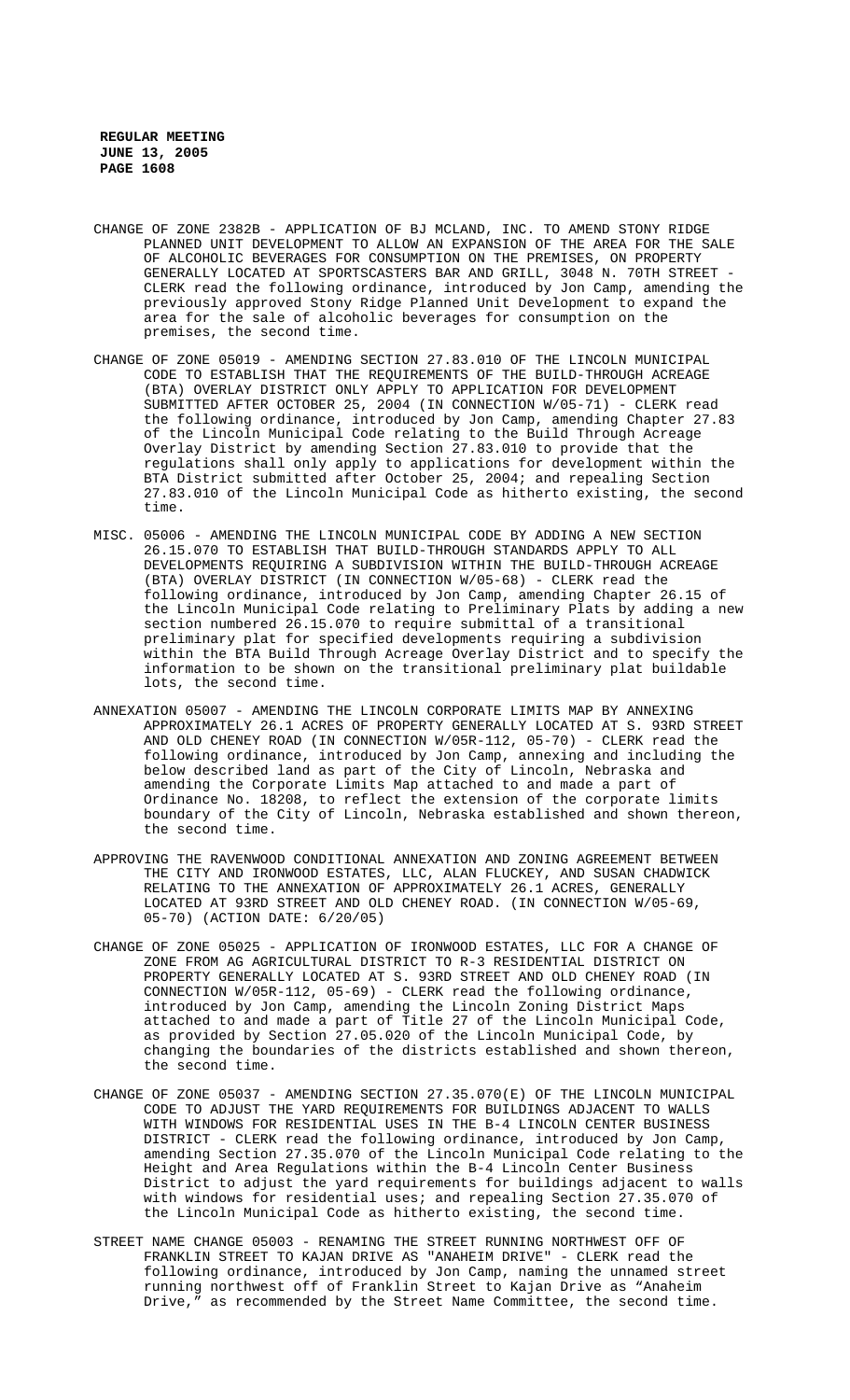- CHANGE OF ZONE 2382B APPLICATION OF BJ MCLAND, INC. TO AMEND STONY RIDGE PLANNED UNIT DEVELOPMENT TO ALLOW AN EXPANSION OF THE AREA FOR THE SALE OF ALCOHOLIC BEVERAGES FOR CONSUMPTION ON THE PREMISES, ON PROPERTY GENERALLY LOCATED AT SPORTSCASTERS BAR AND GRILL, 3048 N. 70TH STREET - CLERK read the following ordinance, introduced by Jon Camp, amending the previously approved Stony Ridge Planned Unit Development to expand the area for the sale of alcoholic beverages for consumption on the premises, the second time.
- CHANGE OF ZONE 05019 AMENDING SECTION 27.83.010 OF THE LINCOLN MUNICIPAL CODE TO ESTABLISH THAT THE REQUIREMENTS OF THE BUILD-THROUGH ACREAGE (BTA) OVERLAY DISTRICT ONLY APPLY TO APPLICATION FOR DEVELOPMENT SUBMITTED AFTER OCTOBER 25, 2004 (IN CONNECTION W/05-71) - CLERK read the following ordinance, introduced by Jon Camp, amending Chapter 27.83 of the Lincoln Municipal Code relating to the Build Through Acreage Overlay District by amending Section 27.83.010 to provide that the regulations shall only apply to applications for development within the BTA District submitted after October 25, 2004; and repealing Section 27.83.010 of the Lincoln Municipal Code as hitherto existing, the second time.
- MISC. 05006 AMENDING THE LINCOLN MUNICIPAL CODE BY ADDING A NEW SECTION 26.15.070 TO ESTABLISH THAT BUILD-THROUGH STANDARDS APPLY TO ALL DEVELOPMENTS REQUIRING A SUBDIVISION WITHIN THE BUILD-THROUGH ACREAGE (BTA) OVERLAY DISTRICT (IN CONNECTION W/05-68) - CLERK read the following ordinance, introduced by Jon Camp, amending Chapter 26.15 of the Lincoln Municipal Code relating to Preliminary Plats by adding a new section numbered 26.15.070 to require submittal of a transitional preliminary plat for specified developments requiring a subdivision within the BTA Build Through Acreage Overlay District and to specify the information to be shown on the transitional preliminary plat buildable lots, the second time.
- ANNEXATION 05007 AMENDING THE LINCOLN CORPORATE LIMITS MAP BY ANNEXING APPROXIMATELY 26.1 ACRES OF PROPERTY GENERALLY LOCATED AT S. 93RD STREET AND OLD CHENEY ROAD (IN CONNECTION W/05R-112, 05-70) - CLERK read the following ordinance, introduced by Jon Camp, annexing and including the below described land as part of the City of Lincoln, Nebraska and amending the Corporate Limits Map attached to and made a part of Ordinance No. 18208, to reflect the extension of the corporate limits boundary of the City of Lincoln, Nebraska established and shown thereon, the second time.
- APPROVING THE RAVENWOOD CONDITIONAL ANNEXATION AND ZONING AGREEMENT BETWEEN THE CITY AND IRONWOOD ESTATES, LLC, ALAN FLUCKEY, AND SUSAN CHADWICK RELATING TO THE ANNEXATION OF APPROXIMATELY 26.1 ACRES, GENERALLY LOCATED AT 93RD STREET AND OLD CHENEY ROAD. (IN CONNECTION W/05-69, 05-70) (ACTION DATE: 6/20/05)
- CHANGE OF ZONE 05025 APPLICATION OF IRONWOOD ESTATES, LLC FOR A CHANGE OF ZONE FROM AG AGRICULTURAL DISTRICT TO R-3 RESIDENTIAL DISTRICT ON PROPERTY GENERALLY LOCATED AT S. 93RD STREET AND OLD CHENEY ROAD (IN CONNECTION W/05R-112, 05-69) - CLERK read the following ordinance, introduced by Jon Camp, amending the Lincoln Zoning District Maps attached to and made a part of Title 27 of the Lincoln Municipal Code, as provided by Section 27.05.020 of the Lincoln Municipal Code, by changing the boundaries of the districts established and shown thereon, the second time.
- CHANGE OF ZONE 05037 AMENDING SECTION 27.35.070(E) OF THE LINCOLN MUNICIPAL CODE TO ADJUST THE YARD REQUIREMENTS FOR BUILDINGS ADJACENT TO WALLS WITH WINDOWS FOR RESIDENTIAL USES IN THE B-4 LINCOLN CENTER BUSINESS DISTRICT - CLERK read the following ordinance, introduced by Jon Camp, amending Section 27.35.070 of the Lincoln Municipal Code relating to the Height and Area Regulations within the B-4 Lincoln Center Business District to adjust the yard requirements for buildings adjacent to walls with windows for residential uses; and repealing Section 27.35.070 of the Lincoln Municipal Code as hitherto existing, the second time.
- STREET NAME CHANGE 05003 RENAMING THE STREET RUNNING NORTHWEST OFF OF FRANKLIN STREET TO KAJAN DRIVE AS "ANAHEIM DRIVE" - CLERK read the following ordinance, introduced by Jon Camp, naming the unnamed street running northwest off of Franklin Street to Kajan Drive as "Anaheim Drive," as recommended by the Street Name Committee, the second time.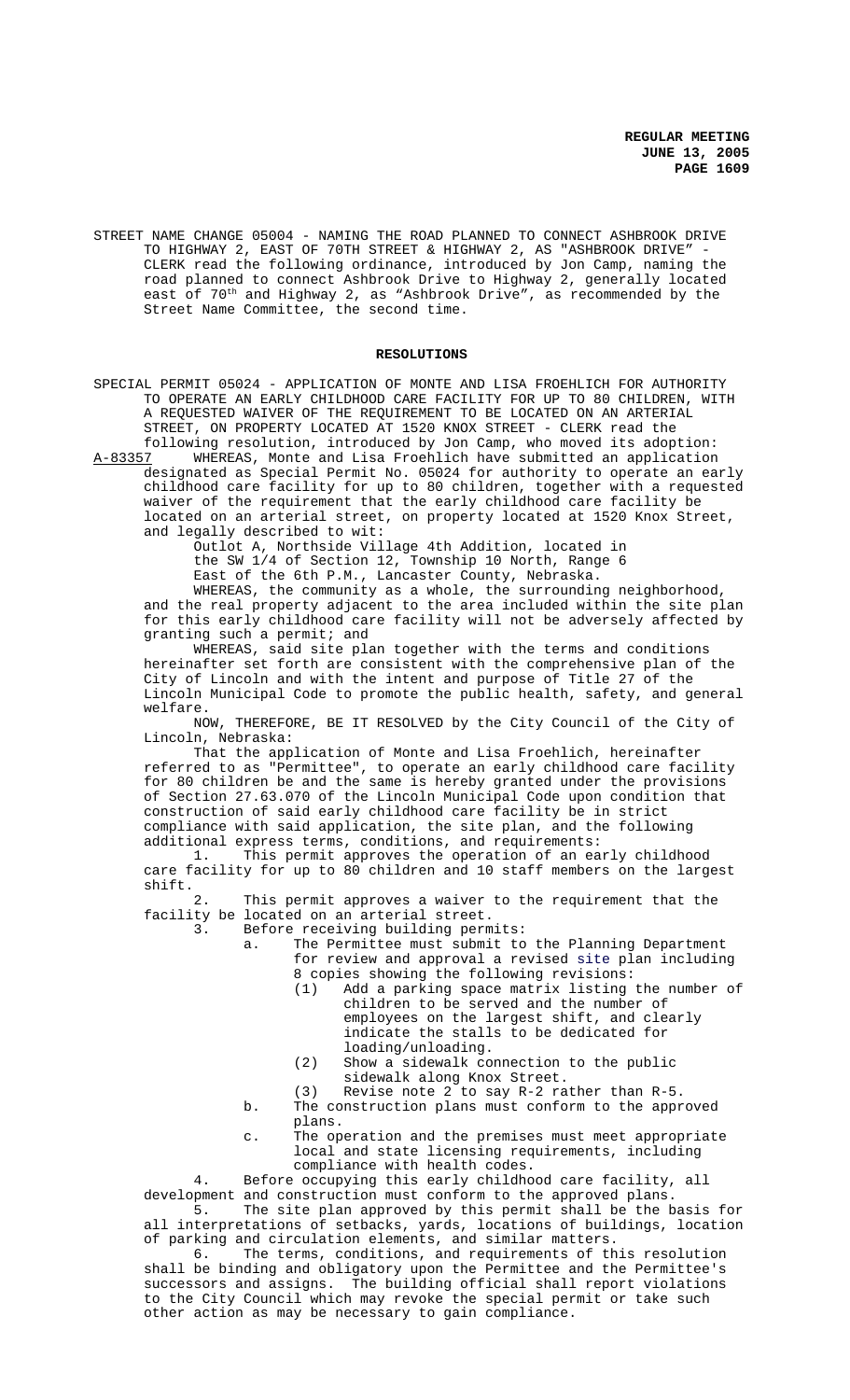STREET NAME CHANGE 05004 - NAMING THE ROAD PLANNED TO CONNECT ASHBROOK DRIVE TO HIGHWAY 2, EAST OF 70TH STREET & HIGHWAY 2, AS "ASHBROOK DRIVE" CLERK read the following ordinance, introduced by Jon Camp, naming the road planned to connect Ashbrook Drive to Highway 2, generally located east of  $70^{\rm th}$  and Highway 2, as "Ashbrook Drive", as recommended by the Street Name Committee, the second time.

## **RESOLUTIONS**

SPECIAL PERMIT 05024 - APPLICATION OF MONTE AND LISA FROEHLICH FOR AUTHORITY TO OPERATE AN EARLY CHILDHOOD CARE FACILITY FOR UP TO 80 CHILDREN, WITH A REQUESTED WAIVER OF THE REQUIREMENT TO BE LOCATED ON AN ARTERIAL STREET, ON PROPERTY LOCATED AT 1520 KNOX STREET - CLERK read the

following resolution, introduced by Jon Camp, who moved its adoption: WHEREAS, Monte and Lisa Froehlich have submitted an application designated as Special Permit No. 05024 for authority to operate an early childhood care facility for up to 80 children, together with a requested waiver of the requirement that the early childhood care facility be located on an arterial street, on property located at 1520 Knox Street, and legally described to wit:

Outlot A, Northside Village 4th Addition, located in the SW 1/4 of Section 12, Township 10 North, Range 6

East of the 6th P.M., Lancaster County, Nebraska. WHEREAS, the community as a whole, the surrounding neighborhood, and the real property adjacent to the area included within the site plan for this early childhood care facility will not be adversely affected by

granting such a permit; and WHEREAS, said site plan together with the terms and conditions hereinafter set forth are consistent with the comprehensive plan of the City of Lincoln and with the intent and purpose of Title 27 of the Lincoln Municipal Code to promote the public health, safety, and general welfare.

NOW, THEREFORE, BE IT RESOLVED by the City Council of the City of Lincoln, Nebraska:

That the application of Monte and Lisa Froehlich, hereinafter referred to as "Permittee", to operate an early childhood care facility for 80 children be and the same is hereby granted under the provisions of Section 27.63.070 of the Lincoln Municipal Code upon condition that construction of said early childhood care facility be in strict compliance with said application, the site plan, and the following additional express terms, conditions, and requirements:

1. This permit approves the operation of an early childhood care facility for up to 80 children and 10 staff members on the largest shift.<br> $2.$ 

This permit approves a waiver to the requirement that the facility be located on an arterial street.

3. Before receiving building permits:

a. The Permittee must submit to the Planning Department for review and approval a revised site plan including 8 copies showing the following revisions:

- (1) Add a parking space matrix listing the number of children to be served and the number of employees on the largest shift, and clearly indicate the stalls to be dedicated for loading/unloading.
- (2) Show a sidewalk connection to the public sidewalk along Knox Street.
- (3) Revise note 2 to say R-2 rather than R-5.
- b. The construction plans must conform to the approved plans.
- c. The operation and the premises must meet appropriate local and state licensing requirements, including compliance with health codes.

4. Before occupying this early childhood care facility, all development and construction must conform to the approved plans.

5. The site plan approved by this permit shall be the basis for all interpretations of setbacks, yards, locations of buildings, location of parking and circulation elements, and similar matters.<br>6. The terms, conditions, and requirements of the

The terms, conditions, and requirements of this resolution shall be binding and obligatory upon the Permittee and the Permittee's successors and assigns. The building official shall report violations to the City Council which may revoke the special permit or take such other action as may be necessary to gain compliance.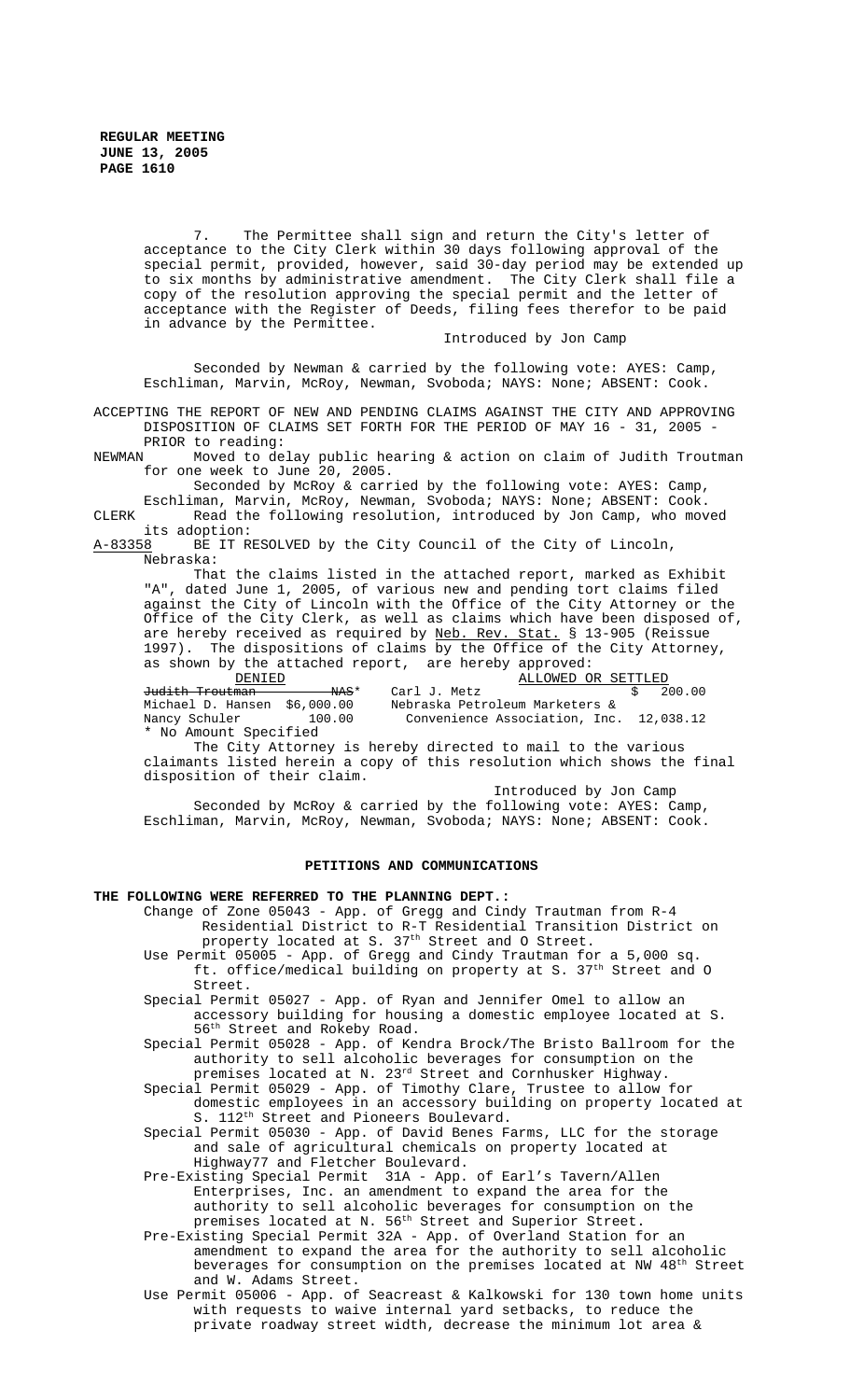7. The Permittee shall sign and return the City's letter of acceptance to the City Clerk within 30 days following approval of the special permit, provided, however, said 30-day period may be extended up to six months by administrative amendment. The City Clerk shall file a copy of the resolution approving the special permit and the letter of acceptance with the Register of Deeds, filing fees therefor to be paid in advance by the Permittee.

Introduced by Jon Camp

Seconded by Newman & carried by the following vote: AYES: Camp, Eschliman, Marvin, McRoy, Newman, Svoboda; NAYS: None; ABSENT: Cook.

ACCEPTING THE REPORT OF NEW AND PENDING CLAIMS AGAINST THE CITY AND APPROVING DISPOSITION OF CLAIMS SET FORTH FOR THE PERIOD OF MAY 16 - 31, 2005 - PRIOR to reading:<br>NEWMAN Moved to de

NEWMAN Moved to delay public hearing & action on claim of Judith Troutman for one week to June 20, 2005.

Seconded by McRoy & carried by the following vote: AYES: Camp,

Eschliman, Marvin, McRoy, Newman, Svoboda; NAYS: None; ABSENT: Cook. CLERK Read the following resolution, introduced by Jon Camp, who moved

its adoption: BE IT RESOLVED by the City Council of the City of Lincoln, Nebraska:

That the claims listed in the attached report, marked as Exhibit "A", dated June 1, 2005, of various new and pending tort claims filed against the City of Lincoln with the Office of the City Attorney or the Office of the City Clerk, as well as claims which have been disposed of, are hereby received as required by Neb. Rev. Stat. § 13-905 (Reissue 1997). The dispositions of claims by the Office of the City Attorney, as shown by the attached report, are hereby approved:<br>DENIED ALLOWED 01

DENIED<br>
Judith Troutman — NAS\* Carl J. Metz<br>
Carl J. Metz<br>
S 200.00 Judith Troutman NAS\* Carl J. Metz \$ 200.00 Michael D. Hansen \$6,000.00 Nebraska Petroleum Marketers & Convenience Association, Inc. 12,038.12 \* No Amount Specified

The City Attorney is hereby directed to mail to the various claimants listed herein a copy of this resolution which shows the final disposition of their claim.

Introduced by Jon Camp Seconded by McRoy & carried by the following vote: AYES: Camp, Eschliman, Marvin, McRoy, Newman, Svoboda; NAYS: None; ABSENT: Cook.

#### **PETITIONS AND COMMUNICATIONS**

**THE FOLLOWING WERE REFERRED TO THE PLANNING DEPT.:**

Change of Zone 05043 - App. of Gregg and Cindy Trautman from R-4 Residential District to R-T Residential Transition District on property located at S. 37<sup>th</sup> Street and O Street.

Use Permit 05005 - App. of Gregg and Cindy Trautman for a 5,000 sq. ft. office/medical building on property at S. 37<sup>th</sup> Street and O Street.

Special Permit 05027 - App. of Ryan and Jennifer Omel to allow an accessory building for housing a domestic employee located at S. 56th Street and Rokeby Road.

Special Permit 05028 - App. of Kendra Brock/The Bristo Ballroom for the authority to sell alcoholic beverages for consumption on the premises located at N. 23rd Street and Cornhusker Highway.

Special Permit 05029 - App. of Timothy Clare, Trustee to allow for domestic employees in an accessory building on property located at S.  $112<sup>th</sup>$  Street and Pioneers Boulevard.

Special Permit 05030 - App. of David Benes Farms, LLC for the storage and sale of agricultural chemicals on property located at Highway77 and Fletcher Boulevard.

Pre-Existing Special Permit 31A - App. of Earl's Tavern/Allen Enterprises, Inc. an amendment to expand the area for the authority to sell alcoholic beverages for consumption on the premises located at N. 56<sup>th</sup> Street and Superior Street.

Pre-Existing Special Permit 32A - App. of Overland Station for an amendment to expand the area for the authority to sell alcoholic beverages for consumption on the premises located at NW 48th Street and W. Adams Street.

Use Permit 05006 - App. of Seacreast & Kalkowski for 130 town home units with requests to waive internal yard setbacks, to reduce the private roadway street width, decrease the minimum lot area &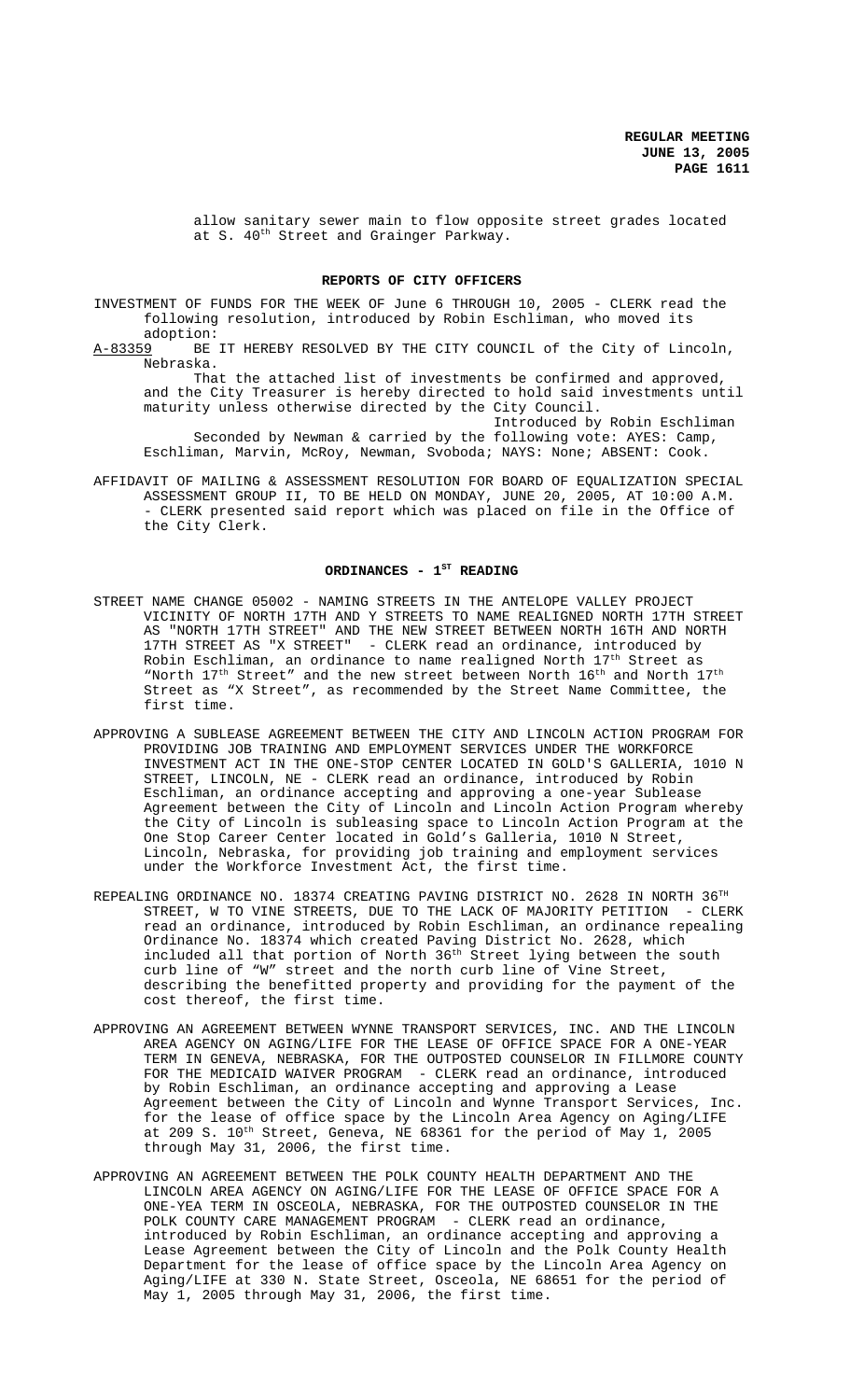allow sanitary sewer main to flow opposite street grades located at S. 40<sup>th</sup> Street and Grainger Parkway.

#### **REPORTS OF CITY OFFICERS**

 INVESTMENT OF FUNDS FOR THE WEEK OF June 6 THROUGH 10, 2005 - CLERK read the following resolution, introduced by Robin Eschliman, who moved its adoption:<br>A-83359 BE

BE IT HEREBY RESOLVED BY THE CITY COUNCIL of the City of Lincoln, Nebraska.

That the attached list of investments be confirmed and approved, and the City Treasurer is hereby directed to hold said investments until maturity unless otherwise directed by the City Council.

Introduced by Robin Eschliman Seconded by Newman & carried by the following vote: AYES: Camp, Eschliman, Marvin, McRoy, Newman, Svoboda; NAYS: None; ABSENT: Cook.

AFFIDAVIT OF MAILING & ASSESSMENT RESOLUTION FOR BOARD OF EQUALIZATION SPECIAL ASSESSMENT GROUP II, TO BE HELD ON MONDAY, JUNE 20, 2005, AT 10:00 A.M. - CLERK presented said report which was placed on file in the Office of the City Clerk.

#### ORDINANCES - 1<sup>ST</sup> READING

- STREET NAME CHANGE 05002 NAMING STREETS IN THE ANTELOPE VALLEY PROJECT VICINITY OF NORTH 17TH AND Y STREETS TO NAME REALIGNED NORTH 17TH STREET AS "NORTH 17TH STREET" AND THE NEW STREET BETWEEN NORTH 16TH AND NORTH 17TH STREET AS "X STREET" - CLERK read an ordinance, introduced by Robin Eschliman, an ordinance to name realigned North  $17^{\rm th}$  Street as "North 17<sup>th</sup> Street" and the new street between North 16<sup>th</sup> and North 17<sup>th</sup> Street as "X Street", as recommended by the Street Name Committee, the first time.
- APPROVING A SUBLEASE AGREEMENT BETWEEN THE CITY AND LINCOLN ACTION PROGRAM FOR PROVIDING JOB TRAINING AND EMPLOYMENT SERVICES UNDER THE WORKFORCE INVESTMENT ACT IN THE ONE-STOP CENTER LOCATED IN GOLD'S GALLERIA, 1010 N STREET, LINCOLN, NE - CLERK read an ordinance, introduced by Robin Eschliman, an ordinance accepting and approving a one-year Sublease Agreement between the City of Lincoln and Lincoln Action Program whereby the City of Lincoln is subleasing space to Lincoln Action Program at the One Stop Career Center located in Gold's Galleria, 1010 N Street, Lincoln, Nebraska, for providing job training and employment services under the Workforce Investment Act, the first time.
- REPEALING ORDINANCE NO. 18374 CREATING PAVING DISTRICT NO. 2628 IN NORTH 36TH STREET, W TO VINE STREETS, DUE TO THE LACK OF MAJORITY PETITION - CLERK read an ordinance, introduced by Robin Eschliman, an ordinance repealing Ordinance No. 18374 which created Paving District No. 2628, which included all that portion of North 36<sup>th</sup> Street lying between the south curb line of "W" street and the north curb line of Vine Street, describing the benefitted property and providing for the payment of the cost thereof, the first time.
- APPROVING AN AGREEMENT BETWEEN WYNNE TRANSPORT SERVICES, INC. AND THE LINCOLN AREA AGENCY ON AGING/LIFE FOR THE LEASE OF OFFICE SPACE FOR A ONE-YEAR TERM IN GENEVA, NEBRASKA, FOR THE OUTPOSTED COUNSELOR IN FILLMORE COUNTY FOR THE MEDICAID WAIVER PROGRAM - CLERK read an ordinance, introduced by Robin Eschliman, an ordinance accepting and approving a Lease Agreement between the City of Lincoln and Wynne Transport Services, Inc. for the lease of office space by the Lincoln Area Agency on Aging/LIFE at 209 S.  $10^{\text{th}}$  Street, Geneva, NE  $68361$  for the period of May 1, 2005 through May 31, 2006, the first time.
- APPROVING AN AGREEMENT BETWEEN THE POLK COUNTY HEALTH DEPARTMENT AND THE LINCOLN AREA AGENCY ON AGING/LIFE FOR THE LEASE OF OFFICE SPACE FOR A ONE-YEA TERM IN OSCEOLA, NEBRASKA, FOR THE OUTPOSTED COUNSELOR IN THE POLK COUNTY CARE MANAGEMENT PROGRAM - CLERK read an ordinance, introduced by Robin Eschliman, an ordinance accepting and approving a Lease Agreement between the City of Lincoln and the Polk County Health Department for the lease of office space by the Lincoln Area Agency on Aging/LIFE at 330 N. State Street, Osceola, NE 68651 for the period of May 1, 2005 through May 31, 2006, the first time.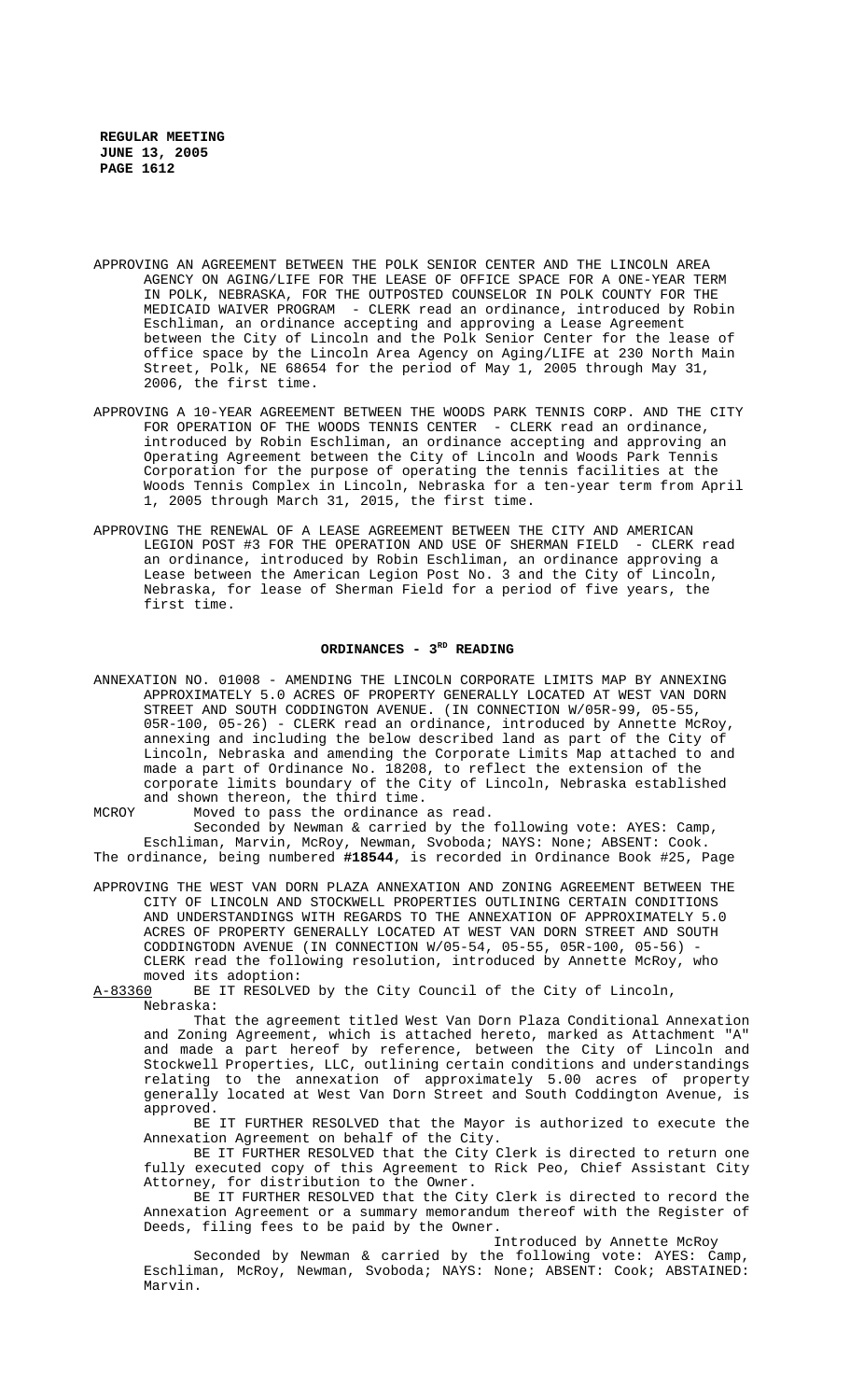- APPROVING AN AGREEMENT BETWEEN THE POLK SENIOR CENTER AND THE LINCOLN AREA AGENCY ON AGING/LIFE FOR THE LEASE OF OFFICE SPACE FOR A ONE-YEAR TERM IN POLK, NEBRASKA, FOR THE OUTPOSTED COUNSELOR IN POLK COUNTY FOR THE MEDICAID WAIVER PROGRAM - CLERK read an ordinance, introduced by Robin Eschliman, an ordinance accepting and approving a Lease Agreement between the City of Lincoln and the Polk Senior Center for the lease of office space by the Lincoln Area Agency on Aging/LIFE at 230 North Main Street, Polk, NE 68654 for the period of May 1, 2005 through May 31, 2006, the first time.
- APPROVING A 10-YEAR AGREEMENT BETWEEN THE WOODS PARK TENNIS CORP. AND THE CITY FOR OPERATION OF THE WOODS TENNIS CENTER - CLERK read an ordinance, introduced by Robin Eschliman, an ordinance accepting and approving an Operating Agreement between the City of Lincoln and Woods Park Tennis Corporation for the purpose of operating the tennis facilities at the Woods Tennis Complex in Lincoln, Nebraska for a ten-year term from April 1, 2005 through March 31, 2015, the first time.
- APPROVING THE RENEWAL OF A LEASE AGREEMENT BETWEEN THE CITY AND AMERICAN LEGION POST #3 FOR THE OPERATION AND USE OF SHERMAN FIELD - CLERK read an ordinance, introduced by Robin Eschliman, an ordinance approving a Lease between the American Legion Post No. 3 and the City of Lincoln, Nebraska, for lease of Sherman Field for a period of five years, the first time.

#### ORDINANCES - 3<sup>RD</sup> READING

ANNEXATION NO. 01008 - AMENDING THE LINCOLN CORPORATE LIMITS MAP BY ANNEXING APPROXIMATELY 5.0 ACRES OF PROPERTY GENERALLY LOCATED AT WEST VAN DORN STREET AND SOUTH CODDINGTON AVENUE. (IN CONNECTION W/05R-99, 05-55, 05R-100, 05-26) - CLERK read an ordinance, introduced by Annette McRoy, annexing and including the below described land as part of the City of Lincoln, Nebraska and amending the Corporate Limits Map attached to and made a part of Ordinance No. 18208, to reflect the extension of the corporate limits boundary of the City of Lincoln, Nebraska established and shown thereon, the third time.

MCROY Moved to pass the ordinance as read.

Seconded by Newman & carried by the following vote: AYES: Camp, Eschliman, Marvin, McRoy, Newman, Svoboda; NAYS: None; ABSENT: Cook. The ordinance, being numbered **#18544**, is recorded in Ordinance Book #25, Page

APPROVING THE WEST VAN DORN PLAZA ANNEXATION AND ZONING AGREEMENT BETWEEN THE CITY OF LINCOLN AND STOCKWELL PROPERTIES OUTLINING CERTAIN CONDITIONS AND UNDERSTANDINGS WITH REGARDS TO THE ANNEXATION OF APPROXIMATELY 5.0 ACRES OF PROPERTY GENERALLY LOCATED AT WEST VAN DORN STREET AND SOUTH CODDINGTODN AVENUE (IN CONNECTION W/05-54, 05-55, 05R-100, 05-56) - CLERK read the following resolution, introduced by Annette McRoy, who moved its adoption:

A-83360 BE IT RESOLVED by the City Council of the City of Lincoln, Nebraska:

That the agreement titled West Van Dorn Plaza Conditional Annexation and Zoning Agreement, which is attached hereto, marked as Attachment "A" and made a part hereof by reference, between the City of Lincoln and Stockwell Properties, LLC, outlining certain conditions and understandings relating to the annexation of approximately 5.00 acres of property generally located at West Van Dorn Street and South Coddington Avenue, is approved.

BE IT FURTHER RESOLVED that the Mayor is authorized to execute the Annexation Agreement on behalf of the City.

BE IT FURTHER RESOLVED that the City Clerk is directed to return one fully executed copy of this Agreement to Rick Peo, Chief Assistant City Attorney, for distribution to the Owner.

BE IT FURTHER RESOLVED that the City Clerk is directed to record the Annexation Agreement or a summary memorandum thereof with the Register of Deeds, filing fees to be paid by the Owner.

Introduced by Annette McRoy

Seconded by Newman & carried by the following vote: AYES: Camp, Eschliman, McRoy, Newman, Svoboda; NAYS: None; ABSENT: Cook; ABSTAINED: Marvin.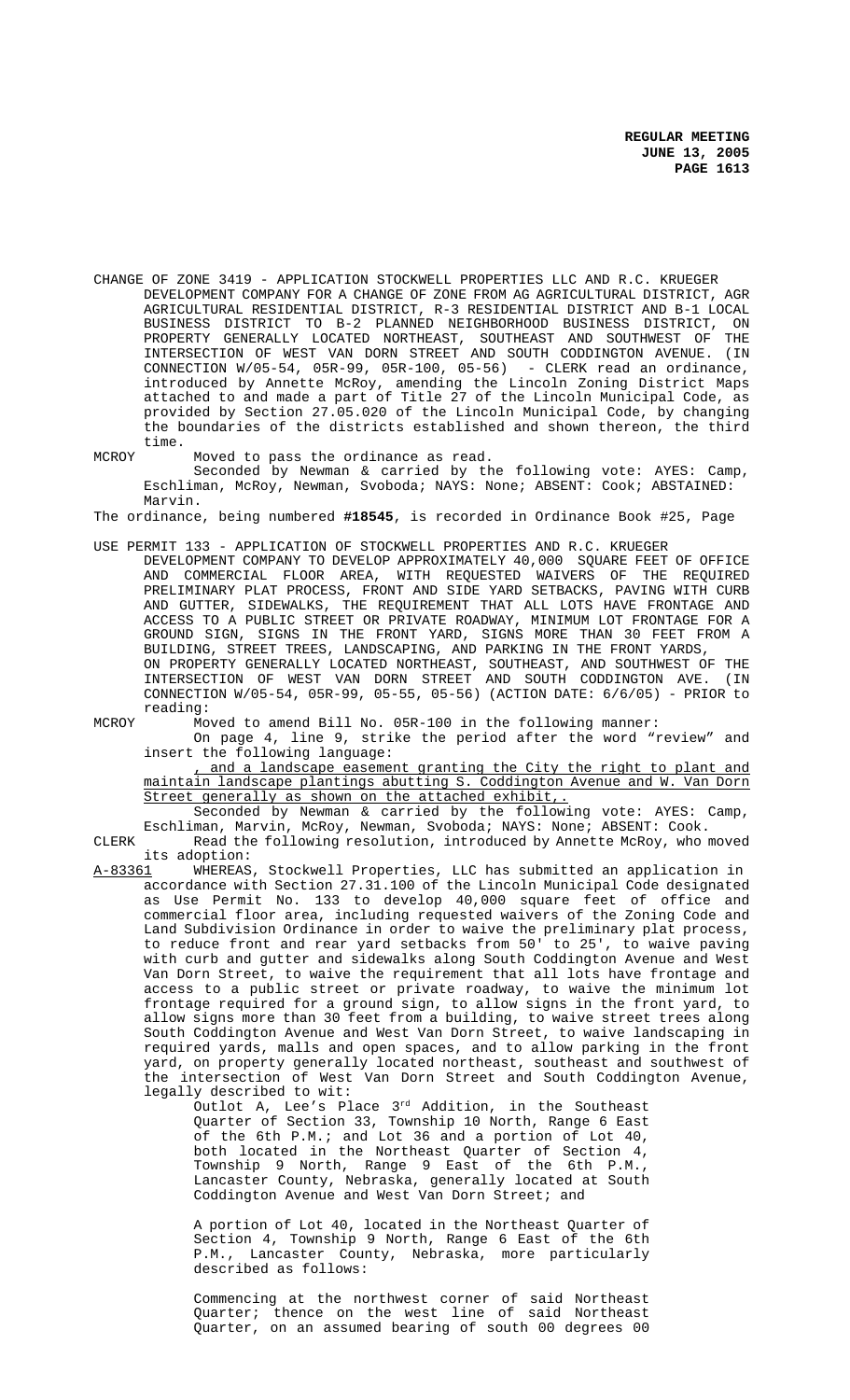CHANGE OF ZONE 3419 - APPLICATION STOCKWELL PROPERTIES LLC AND R.C. KRUEGER DEVELOPMENT COMPANY FOR A CHANGE OF ZONE FROM AG AGRICULTURAL DISTRICT, AGR AGRICULTURAL RESIDENTIAL DISTRICT, R-3 RESIDENTIAL DISTRICT AND B-1 LOCAL BUSINESS DISTRICT TO B-2 PLANNED NEIGHBORHOOD BUSINESS DISTRICT, ON PROPERTY GENERALLY LOCATED NORTHEAST, SOUTHEAST AND SOUTHWEST OF THE INTERSECTION OF WEST VAN DORN STREET AND SOUTH CODDINGTON AVENUE. (IN CONNECTION W/05-54, 05R-99, 05R-100, 05-56) - CLERK read an ordinance, introduced by Annette McRoy, amending the Lincoln Zoning District Maps attached to and made a part of Title 27 of the Lincoln Municipal Code, as provided by Section 27.05.020 of the Lincoln Municipal Code, by changing the boundaries of the districts established and shown thereon, the third time.

MCROY Moved to pass the ordinance as read. Seconded by Newman & carried by the following vote: AYES: Camp, Eschliman, McRoy, Newman, Svoboda; NAYS: None; ABSENT: Cook; ABSTAINED: Marvin.

The ordinance, being numbered **#18545**, is recorded in Ordinance Book #25, Page

USE PERMIT 133 - APPLICATION OF STOCKWELL PROPERTIES AND R.C. KRUEGER DEVELOPMENT COMPANY TO DEVELOP APPROXIMATELY 40,000 SQUARE FEET OF OFFICE AND COMMERCIAL FLOOR AREA, WITH REQUESTED WAIVERS OF THE REQUIRED PRELIMINARY PLAT PROCESS, FRONT AND SIDE YARD SETBACKS, PAVING WITH CURB AND GUTTER, SIDEWALKS, THE REQUIREMENT THAT ALL LOTS HAVE FRONTAGE AND ACCESS TO A PUBLIC STREET OR PRIVATE ROADWAY, MINIMUM LOT FRONTAGE FOR A GROUND SIGN, SIGNS IN THE FRONT YARD, SIGNS MORE THAN 30 FEET FROM A BUILDING, STREET TREES, LANDSCAPING, AND PARKING IN THE FRONT YARDS, ON PROPERTY GENERALLY LOCATED NORTHEAST, SOUTHEAST, AND SOUTHWEST OF THE INTERSECTION OF WEST VAN DORN STREET AND SOUTH CODDINGTON AVE. (IN CONNECTION W/05-54, 05R-99, 05-55, 05-56) (ACTION DATE: 6/6/05) - PRIOR to reading:

MCROY Moved to amend Bill No. 05R-100 in the following manner:

On page 4, line 9, strike the period after the word "review" and insert the following language:

, and a landscape easement granting the City the right to plant and maintain landscape plantings abutting S. Coddington Avenue and W. Van Dorn Street generally as shown on the attached exhibit,.

Seconded by Newman & carried by the following vote: AYES: Camp, Eschliman, Marvin, McRoy, Newman, Svoboda; NAYS: None; ABSENT: Cook.

CLERK Read the following resolution, introduced by Annette McRoy, who moved its adoption:

A-83361 WHEREAS, Stockwell Properties, LLC has submitted an application in accordance with Section 27.31.100 of the Lincoln Municipal Code designated as Use Permit No. 133 to develop 40,000 square feet of office and commercial floor area, including requested waivers of the Zoning Code and Land Subdivision Ordinance in order to waive the preliminary plat process, to reduce front and rear yard setbacks from 50' to 25', to waive paving with curb and gutter and sidewalks along South Coddington Avenue and West Van Dorn Street, to waive the requirement that all lots have frontage and access to a public street or private roadway, to waive the minimum lot frontage required for a ground sign, to allow signs in the front yard, to allow signs more than 30 feet from a building, to waive street trees along South Coddington Avenue and West Van Dorn Street, to waive landscaping in required yards, malls and open spaces, and to allow parking in the front yard, on property generally located northeast, southeast and southwest of the intersection of West Van Dorn Street and South Coddington Avenue, legally described to wit:

Outlot A, Lee's Place 3<sup>rd</sup> Addition, in the Southeast Quarter of Section 33, Township 10 North, Range 6 East of the 6th P.M.; and Lot 36 and a portion of Lot 40, both located in the Northeast Quarter of Section 4, Township 9 North, Range 9 East of the 6th P.M., Lancaster County, Nebraska, generally located at South Coddington Avenue and West Van Dorn Street; and

A portion of Lot 40, located in the Northeast Quarter of Section 4, Township 9 North, Range 6 East of the 6th P.M., Lancaster County, Nebraska, more particularly described as follows:

Commencing at the northwest corner of said Northeast Quarter; thence on the west line of said Northeast Quarter, on an assumed bearing of south 00 degrees 00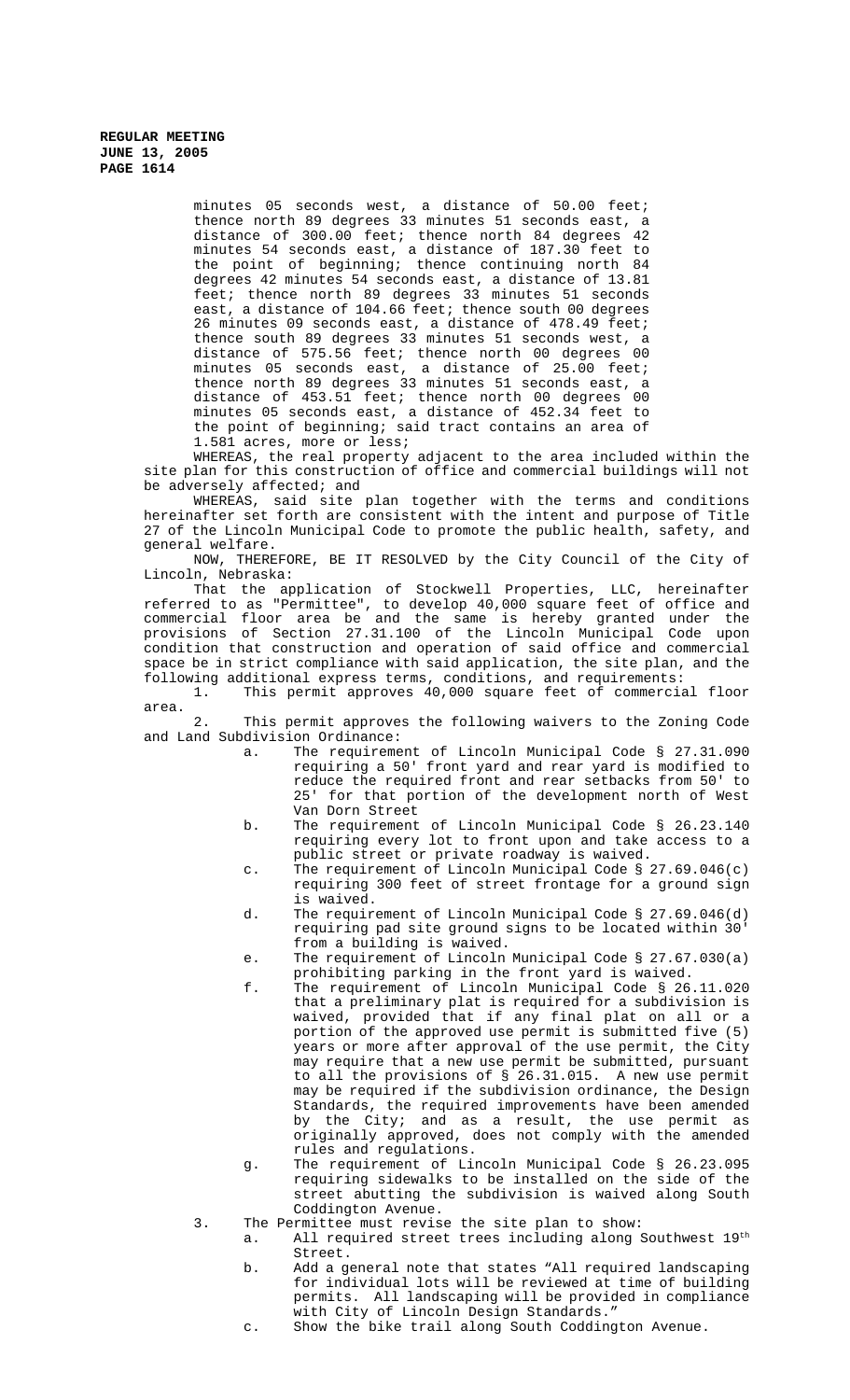> minutes 05 seconds west, a distance of 50.00 feet; thence north 89 degrees 33 minutes 51 seconds east, a distance of 300.00 feet; thence north 84 degrees 42 minutes 54 seconds east, a distance of 187.30 feet to the point of beginning; thence continuing north 84 degrees 42 minutes 54 seconds east, a distance of 13.81 feet; thence north 89 degrees 33 minutes 51 seconds east, a distance of 104.66 feet; thence south 00 degrees 26 minutes 09 seconds east, a distance of 478.49 feet; thence south 89 degrees 33 minutes 51 seconds west, a distance of 575.56 feet; thence north 00 degrees 00 minutes 05 seconds east, a distance of 25.00 feet; thence north 89 degrees 33 minutes 51 seconds east, a distance of 453.51 feet; thence north 00 degrees 00 minutes 05 seconds east, a distance of 452.34 feet to the point of beginning; said tract contains an area of 1.581 acres, more or less;

WHEREAS, the real property adjacent to the area included within the site plan for this construction of office and commercial buildings will not be adversely affected; and

WHEREAS, said site plan together with the terms and conditions hereinafter set forth are consistent with the intent and purpose of Title 27 of the Lincoln Municipal Code to promote the public health, safety, and general welfare.

NOW, THEREFORE, BE IT RESOLVED by the City Council of the City of Lincoln, Nebraska:

That the application of Stockwell Properties, LLC, hereinafter referred to as "Permittee", to develop 40,000 square feet of office and commercial floor area be and the same is hereby granted under the provisions of Section 27.31.100 of the Lincoln Municipal Code upon condition that construction and operation of said office and commercial space be in strict compliance with said application, the site plan, and the following additional express terms, conditions, and requirements:

1. This permit approves 40,000 square feet of commercial floor area.

2. This permit approves the following waivers to the Zoning Code and Land Subdivision Ordinance:

- a. The requirement of Lincoln Municipal Code § 27.31.090 requiring a 50' front yard and rear yard is modified to reduce the required front and rear setbacks from 50' to 25' for that portion of the development north of West Van Dorn Street
- b. The requirement of Lincoln Municipal Code § 26.23.140 requiring every lot to front upon and take access to a public street or private roadway is waived.
- c. The requirement of Lincoln Municipal Code § 27.69.046(c) requiring 300 feet of street frontage for a ground sign is waived.
- d. The requirement of Lincoln Municipal Code § 27.69.046(d) requiring pad site ground signs to be located within 30' from a building is waived.
- e. The requirement of Lincoln Municipal Code § 27.67.030(a) prohibiting parking in the front yard is waived.
- f. The requirement of Lincoln Municipal Code § 26.11.020 that a preliminary plat is required for a subdivision is waived, provided that if any final plat on all or a portion of the approved use permit is submitted five (5) years or more after approval of the use permit, the City may require that a new use permit be submitted, pursuant to all the provisions of § 26.31.015. A new use permit may be required if the subdivision ordinance, the Design Standards, the required improvements have been amended by the City; and as a result, the use permit as originally approved, does not comply with the amended rules and regulations.
- g. The requirement of Lincoln Municipal Code § 26.23.095 requiring sidewalks to be installed on the side of the street abutting the subdivision is waived along South Coddington Avenue.
- 3. The Permittee must revise the site plan to show:
	- a. All required street trees including along Southwest 19th Street.
	- b. Add a general note that states "All required landscaping for individual lots will be reviewed at time of building permits. All landscaping will be provided in compliance with City of Lincoln Design Standards."
	- c. Show the bike trail along South Coddington Avenue.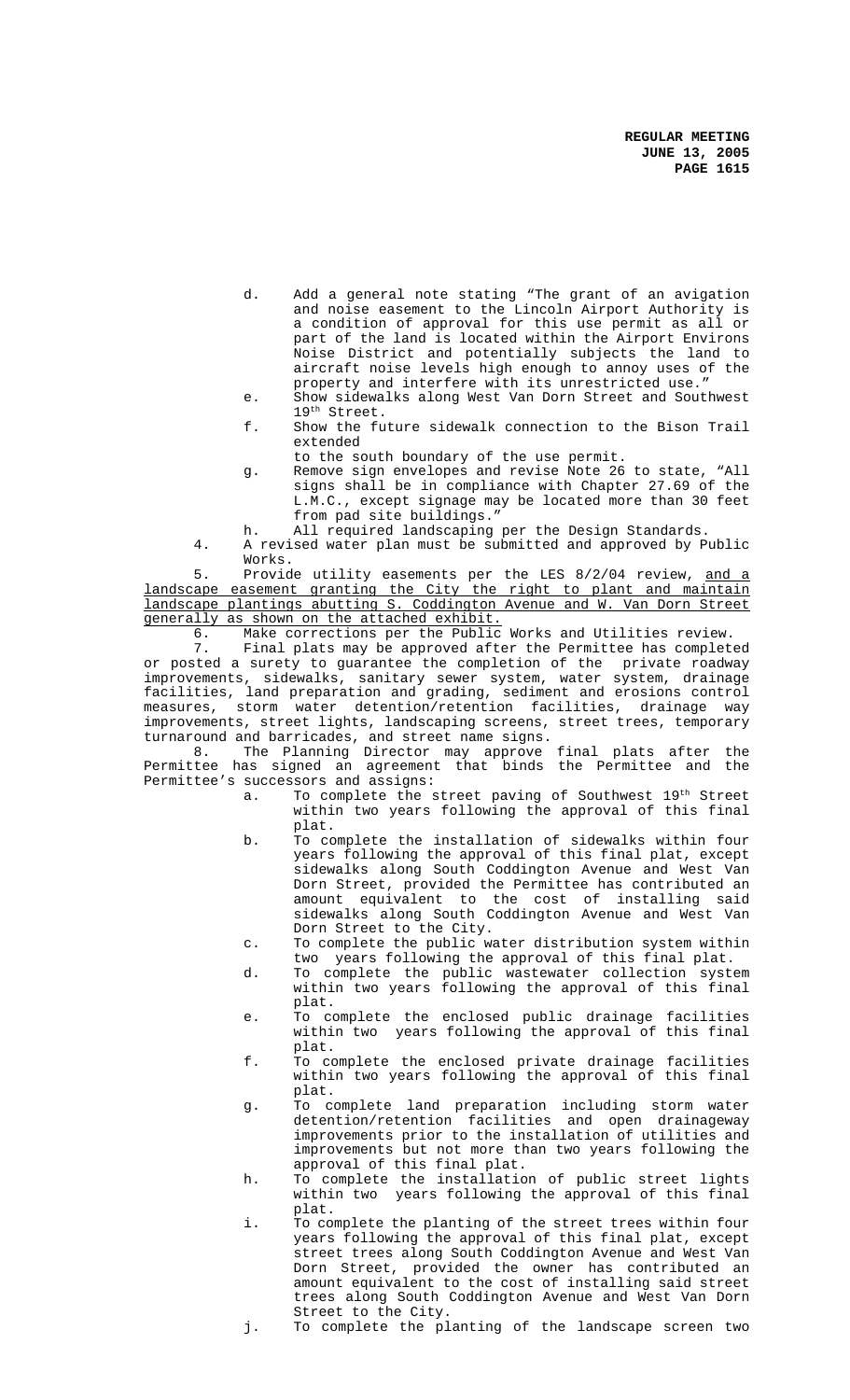- d. Add a general note stating "The grant of an avigation and noise easement to the Lincoln Airport Authority is a condition of approval for this use permit as all or part of the land is located within the Airport Environs Noise District and potentially subjects the land to aircraft noise levels high enough to annoy uses of the property and interfere with its unrestricted use.
- e. Show sidewalks along West Van Dorn Street and Southwest 19th Street.
- f. Show the future sidewalk connection to the Bison Trail extended
- to the south boundary of the use permit.
- g. Remove sign envelopes and revise Note 26 to state, "All signs shall be in compliance with Chapter 27.69 of the L.M.C., except signage may be located more than 30 feet from pad site buildings."
- h. All required landscaping per the Design Standards.
- 4. A revised water plan must be submitted and approved by Public Works.

5. Provide utility easements per the LES 8/2/04 review, and a landscape easement granting the City the right to plant and maintain landscape plantings abutting S. Coddington Avenue and W. Van Dorn Street generally as shown on the attached exhibit.

6. Make corrections per the Public Works and Utilities review.<br>7. Final plats may be approved after the Permittee has complet

Final plats may be approved after the Permittee has completed or posted a surety to guarantee the completion of the private roadway improvements, sidewalks, sanitary sewer system, water system, drainage facilities, land preparation and grading, sediment and erosions control measures, storm water detention/retention facilities, drainage way improvements, street lights, landscaping screens, street trees, temporary turnaround and barricades, and street name signs.<br>8. The Planning Director may approve

The Planning Director may approve final plats after the Permittee has signed an agreement that binds the Permittee and the Permittee's successors and assigns:<br>a. To complete the s

- To complete the street paving of Southwest 19<sup>th</sup> Street within two years following the approval of this final plat.
- b. To complete the installation of sidewalks within four years following the approval of this final plat, except sidewalks along South Coddington Avenue and West Van Dorn Street, provided the Permittee has contributed an amount equivalent to the cost of installing said sidewalks along South Coddington Avenue and West Van Dorn Street to the City.
- c. To complete the public water distribution system within two years following the approval of this final plat.
- d. To complete the public wastewater collection system within two years following the approval of this final plat.
- e. To complete the enclosed public drainage facilities within two years following the approval of this final plat.
- f. To complete the enclosed private drainage facilities within two years following the approval of this final plat.
- g. To complete land preparation including storm water detention/retention facilities and open drainageway improvements prior to the installation of utilities and improvements but not more than two years following the approval of this final plat.
- h. To complete the installation of public street lights within two years following the approval of this final plat.
- i. To complete the planting of the street trees within four years following the approval of this final plat, except street trees along South Coddington Avenue and West Van Dorn Street, provided the owner has contributed an amount equivalent to the cost of installing said street trees along South Coddington Avenue and West Van Dorn Street to the City.
- j. To complete the planting of the landscape screen two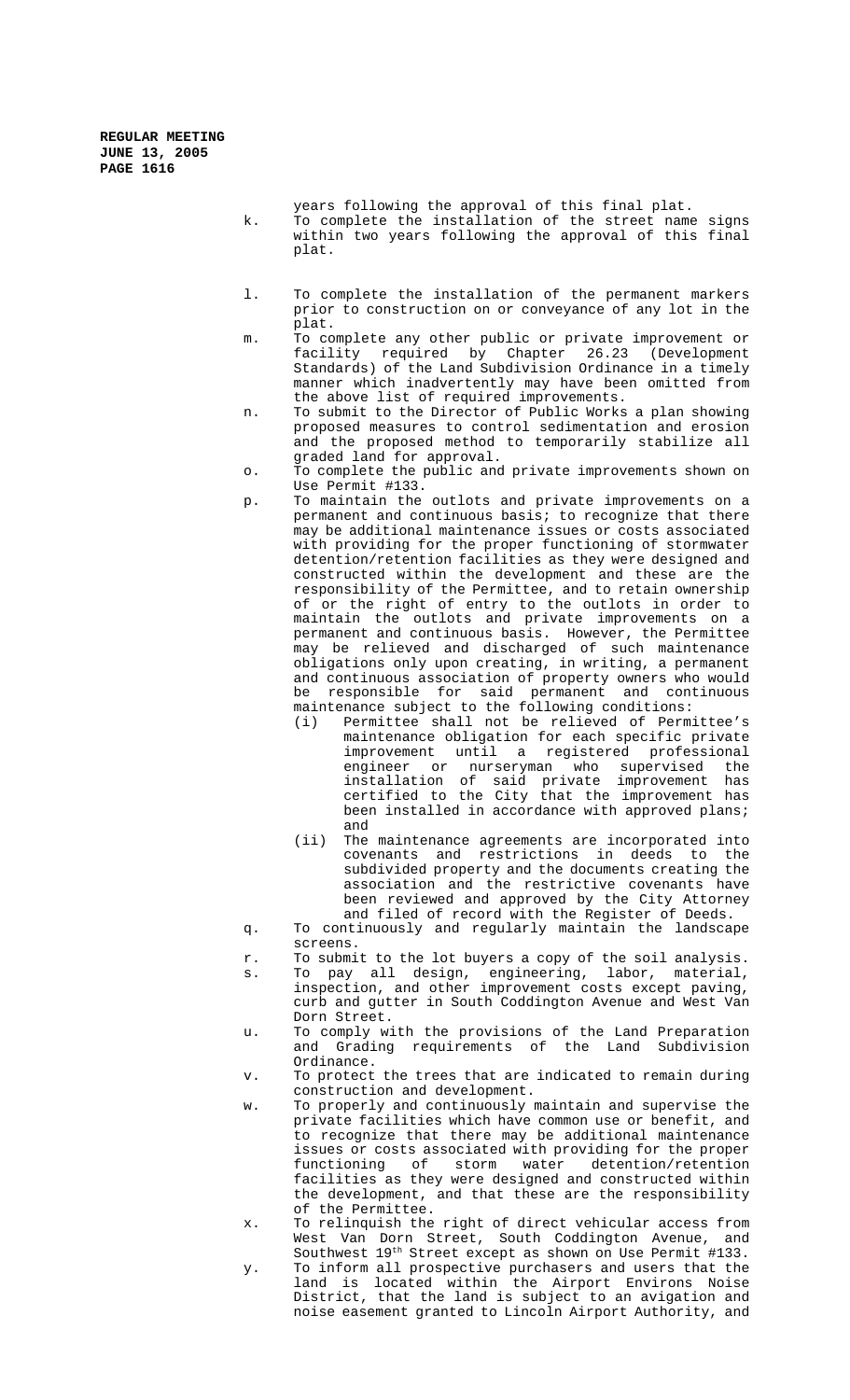- years following the approval of this final plat. k. To complete the installation of the street name signs within two years following the approval of this final plat.
- l. To complete the installation of the permanent markers prior to construction on or conveyance of any lot in the plat.
- m. To complete any other public or private improvement or facility required by Chapter 26.23 (Development Standards) of the Land Subdivision Ordinance in a timely manner which inadvertently may have been omitted from the above list of required improvements.
- n. To submit to the Director of Public Works a plan showing proposed measures to control sedimentation and erosion and the proposed method to temporarily stabilize all graded land for approval.
- o. To complete the public and private improvements shown on Use Permit #133.
- p. To maintain the outlots and private improvements on a permanent and continuous basis; to recognize that there may be additional maintenance issues or costs associated with providing for the proper functioning of stormwater detention/retention facilities as they were designed and constructed within the development and these are the responsibility of the Permittee, and to retain ownership of or the right of entry to the outlots in order to maintain the outlots and private improvements on a permanent and continuous basis. However, the Permittee may be relieved and discharged of such maintenance obligations only upon creating, in writing, a permanent and continuous association of property owners who would be responsible for said permanent and continuous maintenance subject to the following conditions:
	- (i) Permittee shall not be relieved of Permittee's maintenance obligation for each specific private improvement until a registered professional engineer or nurseryman who supervised the installation of said private improvement has certified to the City that the improvement has been installed in accordance with approved plans; and
	- (ii) The maintenance agreements are incorporated into covenants and restrictions in deeds to the subdivided property and the documents creating the association and the restrictive covenants have been reviewed and approved by the City Attorney and filed of record with the Register of Deeds.
- q. To continuously and regularly maintain the landscape screens.
- r. To submit to the lot buyers a copy of the soil analysis.
- s. To pay all design, engineering, labor, material, inspection, and other improvement costs except paving, curb and gutter in South Coddington Avenue and West Van Dorn Street.
- u. To comply with the provisions of the Land Preparation and Grading requirements of the Land Subdivision Ordinance.
- v. To protect the trees that are indicated to remain during construction and development.
- w. To properly and continuously maintain and supervise the private facilities which have common use or benefit, and to recognize that there may be additional maintenance issues or costs associated with providing for the proper functioning of storm water detention/retention facilities as they were designed and constructed within the development, and that these are the responsibility of the Permittee.
- x. To relinquish the right of direct vehicular access from West Van Dorn Street, South Coddington Avenue, and Southwest 19th Street except as shown on Use Permit #133.
- y. To inform all prospective purchasers and users that the land is located within the Airport Environs Noise District, that the land is subject to an avigation and noise easement granted to Lincoln Airport Authority, and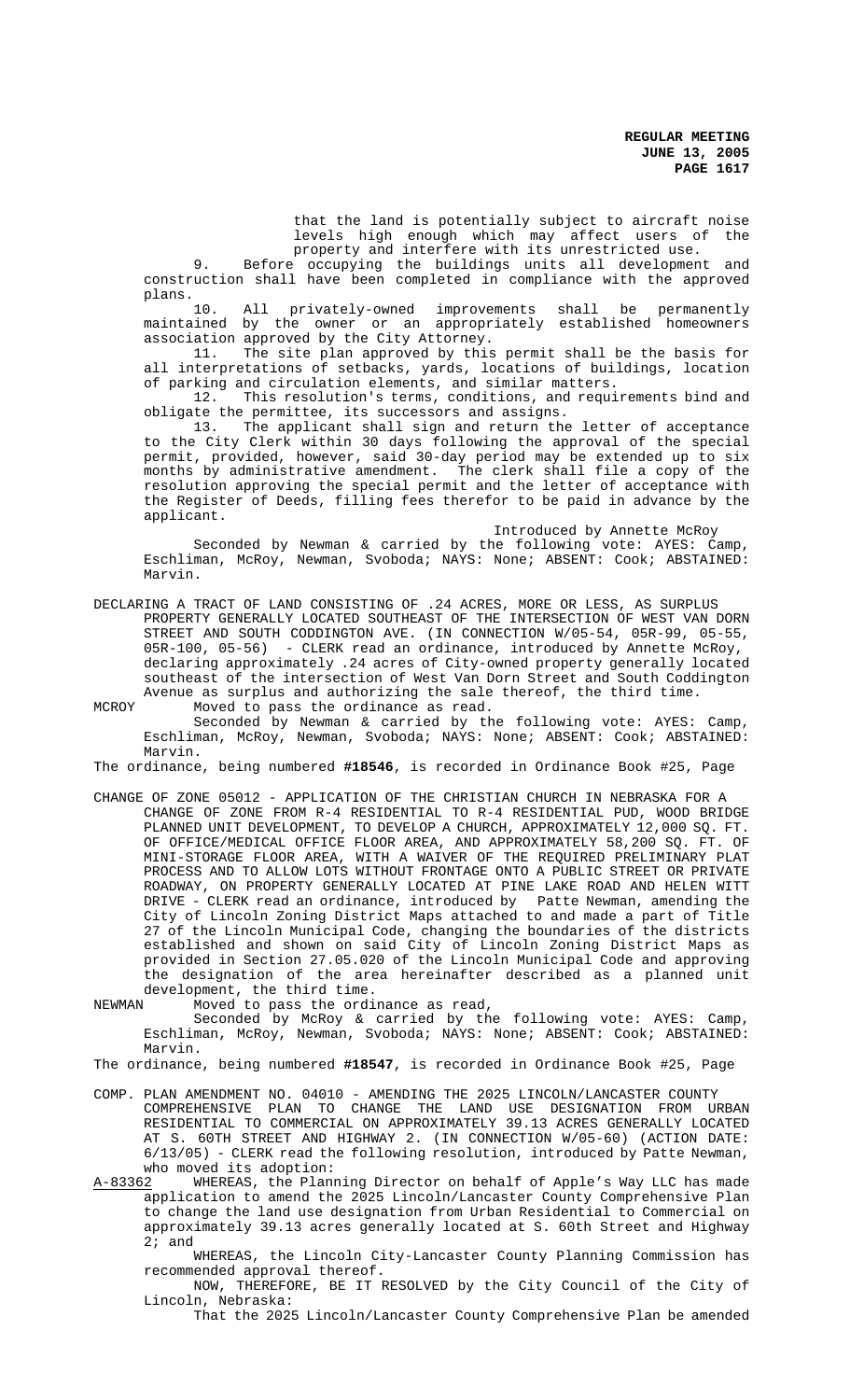that the land is potentially subject to aircraft noise levels high enough which may affect users of the property and interfere with its unrestricted use.

9. Before occupying the buildings units all development and construction shall have been completed in compliance with the approved plans.

10. All privately-owned improvements shall be permanently maintained by the owner or an appropriately established homeowners association approved by the City Attorney.

11. The site plan approved by this permit shall be the basis for all interpretations of setbacks, yards, locations of buildings, location of parking and circulation elements, and similar matters.

12. This resolution's terms, conditions, and requirements bind and obligate the permittee, its successors and assigns.

13. The applicant shall sign and return the letter of acceptance to the City Clerk within 30 days following the approval of the special permit, provided, however, said 30-day period may be extended up to six months by administrative amendment. The clerk shall file a copy of the resolution approving the special permit and the letter of acceptance with the Register of Deeds, filling fees therefor to be paid in advance by the applicant.

Introduced by Annette McRoy

Seconded by Newman & carried by the following vote: AYES: Camp, Eschliman, McRoy, Newman, Svoboda; NAYS: None; ABSENT: Cook; ABSTAINED: Marvin.

DECLARING A TRACT OF LAND CONSISTING OF .24 ACRES, MORE OR LESS, AS SURPLUS PROPERTY GENERALLY LOCATED SOUTHEAST OF THE INTERSECTION OF WEST VAN DORN STREET AND SOUTH CODDINGTON AVE. (IN CONNECTION W/05-54, 05R-99, 05-55, 05R-100, 05-56) - CLERK read an ordinance, introduced by Annette McRoy, declaring approximately .24 acres of City-owned property generally located southeast of the intersection of West Van Dorn Street and South Coddington Avenue as surplus and authorizing the sale thereof, the third time. MCROY Moved to pass the ordinance as read.

Seconded by Newman & carried by the following vote: AYES: Camp, Eschliman, McRoy, Newman, Svoboda; NAYS: None; ABSENT: Cook; ABSTAINED: Marvin.

The ordinance, being numbered **#18546**, is recorded in Ordinance Book #25, Page

CHANGE OF ZONE 05012 - APPLICATION OF THE CHRISTIAN CHURCH IN NEBRASKA FOR A CHANGE OF ZONE FROM R-4 RESIDENTIAL TO R-4 RESIDENTIAL PUD, WOOD BRIDGE PLANNED UNIT DEVELOPMENT, TO DEVELOP A CHURCH, APPROXIMATELY 12,000 SQ. FT. OF OFFICE/MEDICAL OFFICE FLOOR AREA, AND APPROXIMATELY 58,200 SQ. FT. OF MINI-STORAGE FLOOR AREA, WITH A WAIVER OF THE REQUIRED PRELIMINARY PLAT PROCESS AND TO ALLOW LOTS WITHOUT FRONTAGE ONTO A PUBLIC STREET OR PRIVATE ROADWAY, ON PROPERTY GENERALLY LOCATED AT PINE LAKE ROAD AND HELEN WITT DRIVE - CLERK read an ordinance, introduced by Patte Newman, amending the City of Lincoln Zoning District Maps attached to and made a part of Title 27 of the Lincoln Municipal Code, changing the boundaries of the districts established and shown on said City of Lincoln Zoning District Maps as provided in Section 27.05.020 of the Lincoln Municipal Code and approving the designation of the area hereinafter described as a planned unit development, the third time.<br>NEWMAN Moved to pass the ordi

Moved to pass the ordinance as read,

Seconded by McRoy & carried by the following vote: AYES: Camp, Eschliman, McRoy, Newman, Svoboda; NAYS: None; ABSENT: Cook; ABSTAINED: Marvin.

The ordinance, being numbered **#18547**, is recorded in Ordinance Book #25, Page

COMP. PLAN AMENDMENT NO. 04010 - AMENDING THE 2025 LINCOLN/LANCASTER COUNTY COMPREHENSIVE PLAN TO CHANGE THE LAND USE DESIGNATION FROM URBAN RESIDENTIAL TO COMMERCIAL ON APPROXIMATELY 39.13 ACRES GENERALLY LOCATED AT S. 60TH STREET AND HIGHWAY 2. (IN CONNECTION W/05-60) (ACTION DATE: 6/13/05) - CLERK read the following resolution, introduced by Patte Newman, who moved its adoption:<br>A-83362 MHEREAS, the Plani

WHEREAS, the Planning Director on behalf of Apple's Way LLC has made application to amend the 2025 Lincoln/Lancaster County Comprehensive Plan to change the land use designation from Urban Residential to Commercial on approximately 39.13 acres generally located at S. 60th Street and Highway 2; and

WHEREAS, the Lincoln City-Lancaster County Planning Commission has recommended approval thereof.

NOW, THEREFORE, BE IT RESOLVED by the City Council of the City of Lincoln, Nebraska:

That the 2025 Lincoln/Lancaster County Comprehensive Plan be amended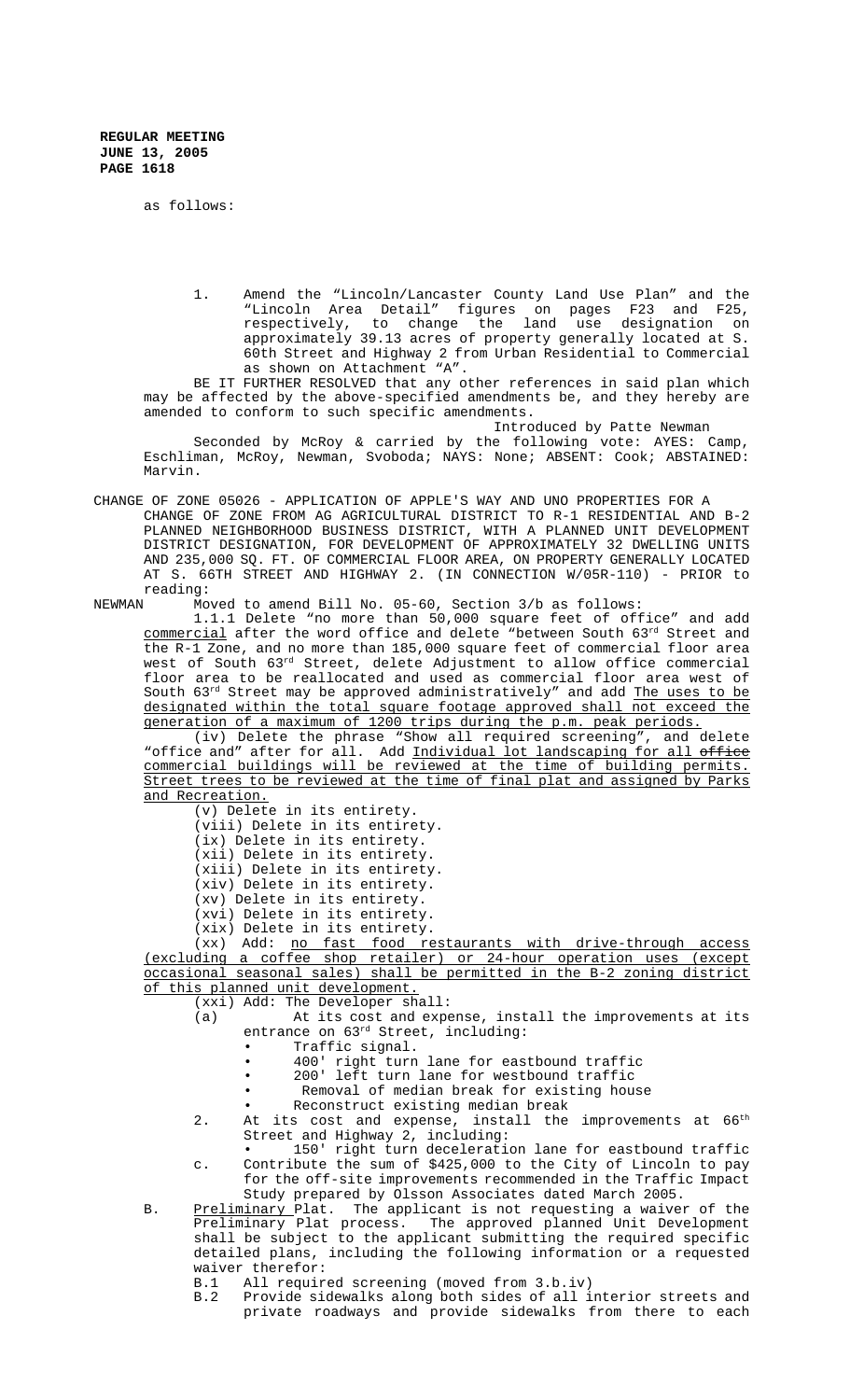as follows:

1. Amend the "Lincoln/Lancaster County Land Use Plan" and the "Lincoln Area Detail" figures on pages F23 and F25, respectively, to change the land use designation on approximately 39.13 acres of property generally located at S. 60th Street and Highway 2 from Urban Residential to Commercial as shown on Attachment "A".

BE IT FURTHER RESOLVED that any other references in said plan which may be affected by the above-specified amendments be, and they hereby are amended to conform to such specific amendments.

Introduced by Patte Newman

Seconded by McRoy & carried by the following vote: AYES: Camp, Eschliman, McRoy, Newman, Svoboda; NAYS: None; ABSENT: Cook; ABSTAINED: Marvin.

CHANGE OF ZONE 05026 - APPLICATION OF APPLE'S WAY AND UNO PROPERTIES FOR A CHANGE OF ZONE FROM AG AGRICULTURAL DISTRICT TO R-1 RESIDENTIAL AND B-2 PLANNED NEIGHBORHOOD BUSINESS DISTRICT, WITH A PLANNED UNIT DEVELOPMENT DISTRICT DESIGNATION, FOR DEVELOPMENT OF APPROXIMATELY 32 DWELLING UNITS AND 235,000 SQ. FT. OF COMMERCIAL FLOOR AREA, ON PROPERTY GENERALLY LOCATED AT S. 66TH STREET AND HIGHWAY 2. (IN CONNECTION W/05R-110) - PRIOR to

reading:<br>NEWMAN Mo

Moved to amend Bill No. 05-60, Section  $3/b$  as follows:

1.1.1 Delete "no more than 50,000 square feet of office" and add commercial after the word office and delete "between South 63rd Street and the R-1 Zone, and no more than 185,000 square feet of commercial floor area west of South 63rd Street, delete Adjustment to allow office commercial floor area to be reallocated and used as commercial floor area west of South 63<sup>rd</sup> Street may be approved administratively" and add The uses to be designated within the total square footage approved shall not exceed the generation of a maximum of 1200 trips during the p.m. peak periods.

(iv) Delete the phrase "Show all required screening", and delete "office and" after for all. Add Individual lot landscaping for all office commercial buildings will be reviewed at the time of building permits. Street trees to be reviewed at the time of final plat and assigned by Parks and Recreation.

 (v) Delete in its entirety. (viii) Delete in its entirety. (ix) Delete in its entirety. (xii) Delete in its entirety. (xiii) Delete in its entirety. (xiv) Delete in its entirety. (xv) Delete in its entirety. (xvi) Delete in its entirety. (xix) Delete in its entirety.

(xx) Add: no fast food restaurants with drive-through access (excluding a coffee shop retailer) or 24-hour operation uses (except occasional seasonal sales) shall be permitted in the B-2 zoning district of this planned unit development.

(xxi) Add: The Developer shall:

- (a) At its cost and expense, install the improvements at its entrance on  $63^{rd}$  Street, including:
	- Traffic signal.
	- 400' right turn lane for eastbound traffic
	- 200' left turn lane for westbound traffic
	- Removal of median break for existing house
	- Reconstruct existing median break
- 2. At its cost and expense, install the improvements at  $66^{\text{th}}$ Street and Highway 2, including:
- 150' right turn deceleration lane for eastbound traffic c. Contribute the sum of \$425,000 to the City of Lincoln to pay for the off-site improvements recommended in the Traffic Impact Study prepared by Olsson Associates dated March 2005.
- B. Preliminary Plat. The applicant is not requesting a waiver of the Preliminary Plat process. The approved planned Unit Development shall be subject to the applicant submitting the required specific detailed plans, including the following information or a requested waiver therefor:<br>B.1 All require
	- B.1 All required screening (moved from 3.b.iv)<br>B.2 Provide sidewalks along both sides of all i
	- Provide sidewalks along both sides of all interior streets and private roadways and provide sidewalks from there to each
-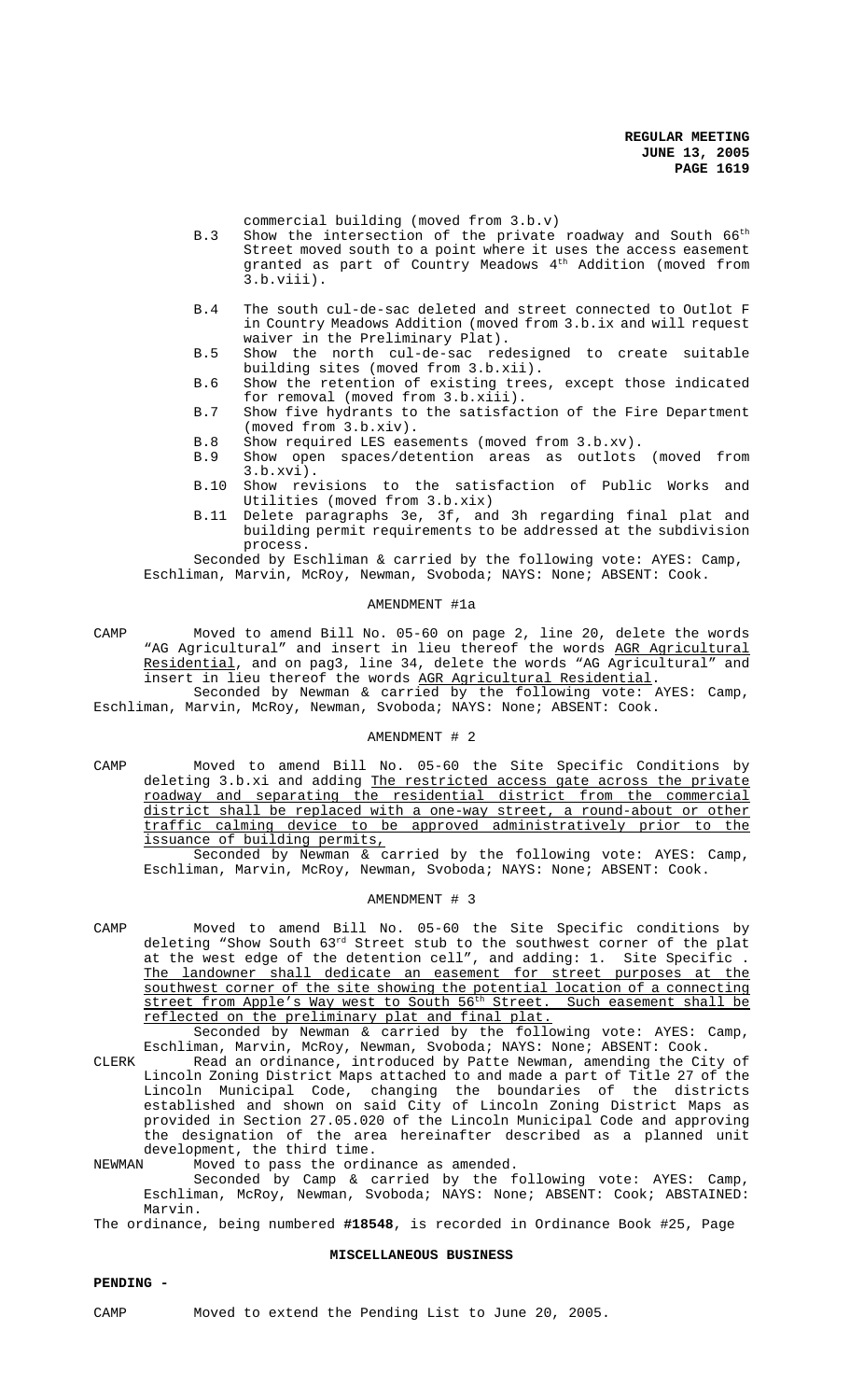commercial building (moved from 3.b.v)

- B.3 Show the intersection of the private roadway and South  $66^{\text{th}}$ Street moved south to a point where it uses the access easement granted as part of Country Meadows 4<sup>th</sup> Addition (moved from 3.b.viii).
- B.4 The south cul-de-sac deleted and street connected to Outlot F in Country Meadows Addition (moved from 3.b.ix and will request waiver in the Preliminary Plat).
- B.5 Show the north cul-de-sac redesigned to create suitable building sites (moved from 3.b.xii).
- B.6 Show the retention of existing trees, except those indicated for removal (moved from 3.b.xiii).
- B.7 Show five hydrants to the satisfaction of the Fire Department (moved from 3.b.xiv).
- B.8 Show required LES easements (moved from 3.b.xv).<br>B.9 Show open spaces/detention areas as outlots
- Show open spaces/detention areas as outlots (moved from 3.b.xvi).
- B.10 Show revisions to the satisfaction of Public Works and Utilities (moved from 3.b.xix)
- B.11 Delete paragraphs 3e, 3f, and 3h regarding final plat and building permit requirements to be addressed at the subdivision process.

Seconded by Eschliman & carried by the following vote: AYES: Camp, Eschliman, Marvin, McRoy, Newman, Svoboda; NAYS: None; ABSENT: Cook.

### AMENDMENT #1a

CAMP Moved to amend Bill No. 05-60 on page 2, line 20, delete the words "AG Agricultural" and insert in lieu thereof the words AGR Agricultural Residential, and on pag3, line 34, delete the words "AG Agricultural" and insert in lieu thereof the words AGR Agricultural Residential.

Seconded by Newman & carried by the following vote: AYES: Camp, Eschliman, Marvin, McRoy, Newman, Svoboda; NAYS: None; ABSENT: Cook.

# AMENDMENT # 2

CAMP Moved to amend Bill No. 05-60 the Site Specific Conditions by deleting 3.b.xi and adding <u>The restricted access gate across the private</u> roadway and separating the residential district from the commercial district shall be replaced with a one-way street, a round-about or other traffic calming device to be approved administratively prior to the issuance of building permits,

Seconded by Newman & carried by the following vote: AYES: Camp, Eschliman, Marvin, McRoy, Newman, Svoboda; NAYS: None; ABSENT: Cook.

#### AMENDMENT # 3

CAMP Moved to amend Bill No. 05-60 the Site Specific conditions by deleting "Show South  $63^{\text{rd}}$  Street stub to the southwest corner of the plat at the west edge of the detention cell", and adding: 1. Site Specific. The landowner shall dedicate an easement for street purposes at the southwest corner of the site showing the potential location of a connecting street from Apple's Way west to South 56<sup>th</sup> Street. Such easement shall be reflected on the preliminary plat and final plat.

Seconded by Newman & carried by the following vote: AYES: Camp, Eschliman, Marvin, McRoy, Newman, Svoboda; NAYS: None; ABSENT: Cook.

CLERK Read an ordinance, introduced by Patte Newman, amending the City of Lincoln Zoning District Maps attached to and made a part of Title 27 of the Lincoln Municipal Code, changing the boundaries of the districts established and shown on said City of Lincoln Zoning District Maps as provided in Section 27.05.020 of the Lincoln Municipal Code and approving the designation of the area hereinafter described as a planned unit development, the third time.

NEWMAN Moved to pass the ordinance as amended.

Seconded by Camp & carried by the following vote: AYES: Camp, Eschliman, McRoy, Newman, Svoboda; NAYS: None; ABSENT: Cook; ABSTAINED: Marvin.

## **MISCELLANEOUS BUSINESS**

## **PENDING -**

CAMP Moved to extend the Pending List to June 20, 2005.

The ordinance, being numbered **#18548**, is recorded in Ordinance Book #25, Page